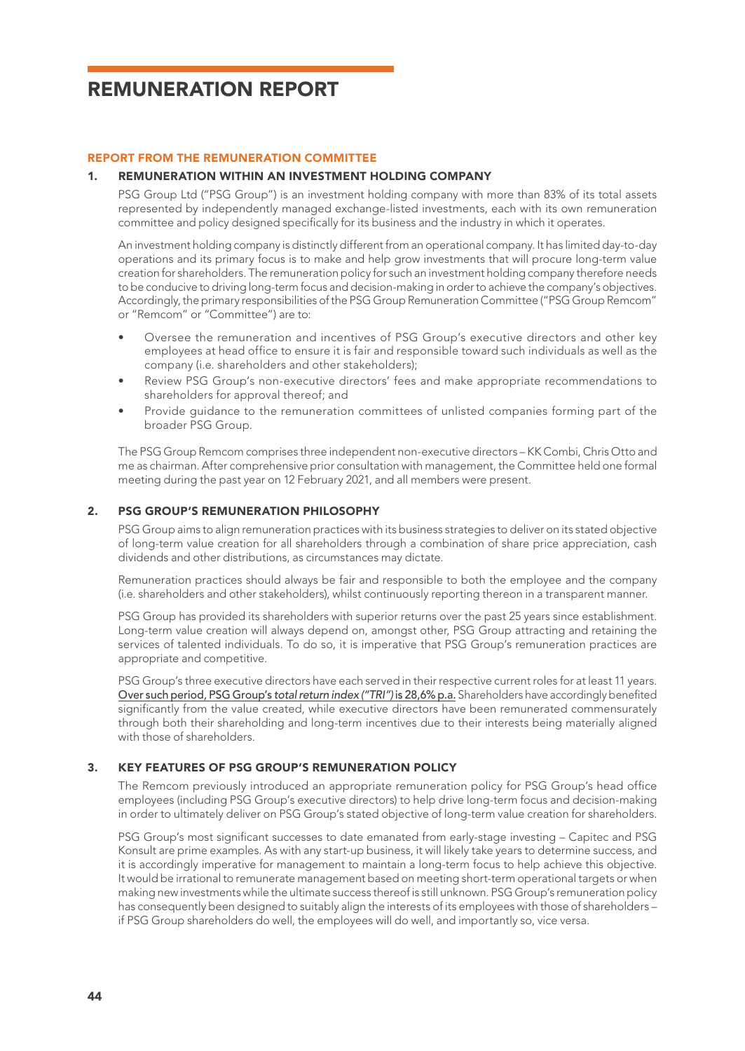## REMUNERATION REPORT

#### REPORT FROM THE REMUNERATION COMMITTEE

#### 1. REMUNERATION WITHIN AN INVESTMENT HOLDING COMPANY

PSG Group Ltd ("PSG Group") is an investment holding company with more than 83% of its total assets represented by independently managed exchange-listed investments, each with its own remuneration committee and policy designed specifically for its business and the industry in which it operates.

An investment holding company is distinctly different from an operational company. It has limited day-to-day operations and its primary focus is to make and help grow investments that will procure long-term value creation for shareholders. The remuneration policy for such an investment holding company therefore needs to be conducive to driving long-term focus and decision-making in order to achieve the company's objectives. Accordingly, the primary responsibilities of the PSG Group Remuneration Committee ("PSG Group Remcom" or "Remcom" or "Committee") are to:

- Oversee the remuneration and incentives of PSG Group's executive directors and other key employees at head office to ensure it is fair and responsible toward such individuals as well as the company (i.e. shareholders and other stakeholders);
- Review PSG Group's non-executive directors' fees and make appropriate recommendations to shareholders for approval thereof; and
- Provide guidance to the remuneration committees of unlisted companies forming part of the broader PSG Group.

The PSG Group Remcom comprises three independent non-executive directors – KK Combi, Chris Otto and me as chairman. After comprehensive prior consultation with management, the Committee held one formal meeting during the past year on 12 February 2021, and all members were present.

### 2. PSG GROUP'S REMUNERATION PHILOSOPHY

PSG Group aims to align remuneration practices with its business strategies to deliver on its stated objective of long-term value creation for all shareholders through a combination of share price appreciation, cash dividends and other distributions, as circumstances may dictate.

Remuneration practices should always be fair and responsible to both the employee and the company (i.e. shareholders and other stakeholders), whilst continuously reporting thereon in a transparent manner.

PSG Group has provided its shareholders with superior returns over the past 25 years since establishment. Long-term value creation will always depend on, amongst other, PSG Group attracting and retaining the services of talented individuals. To do so, it is imperative that PSG Group's remuneration practices are appropriate and competitive.

PSG Group's three executive directors have each served in their respective current roles for at least 11 years. Over such period, PSG Group's *total return index ("TRI")* is 28,6% p.a. Shareholders have accordingly benefited significantly from the value created, while executive directors have been remunerated commensurately through both their shareholding and long-term incentives due to their interests being materially aligned with those of shareholders.

#### 3. KEY FEATURES OF PSG GROUP'S REMUNERATION POLICY

The Remcom previously introduced an appropriate remuneration policy for PSG Group's head office employees (including PSG Group's executive directors) to help drive long-term focus and decision-making in order to ultimately deliver on PSG Group's stated objective of long-term value creation for shareholders.

PSG Group's most significant successes to date emanated from early-stage investing – Capitec and PSG Konsult are prime examples. As with any start-up business, it will likely take years to determine success, and it is accordingly imperative for management to maintain a long-term focus to help achieve this objective. It would be irrational to remunerate management based on meeting short-term operational targets or when making new investments while the ultimate success thereof is still unknown. PSG Group's remuneration policy has consequently been designed to suitably align the interests of its employees with those of shareholders – if PSG Group shareholders do well, the employees will do well, and importantly so, vice versa.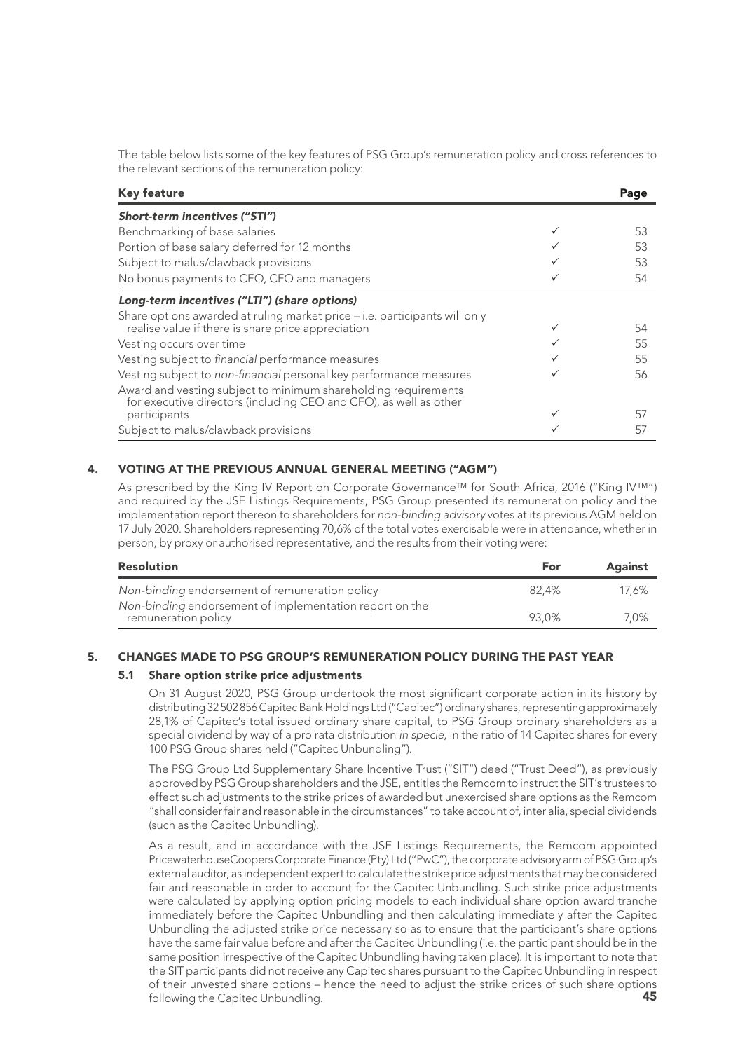The table below lists some of the key features of PSG Group's remuneration policy and cross references to the relevant sections of the remuneration policy:

| <b>Key feature</b>                                                                                                                  | Page |
|-------------------------------------------------------------------------------------------------------------------------------------|------|
| Short-term incentives ("STI")                                                                                                       |      |
| Benchmarking of base salaries                                                                                                       | 53   |
| Portion of base salary deferred for 12 months                                                                                       | 53   |
| Subject to malus/clawback provisions                                                                                                | 53   |
| No bonus payments to CEO, CFO and managers                                                                                          | 54   |
| Long-term incentives ("LTI") (share options)                                                                                        |      |
| Share options awarded at ruling market price – i.e. participants will only                                                          |      |
| realise value if there is share price appreciation                                                                                  | 54   |
| Vesting occurs over time                                                                                                            | 55   |
| Vesting subject to financial performance measures                                                                                   | 55   |
| Vesting subject to non-financial personal key performance measures                                                                  | 56   |
| Award and vesting subject to minimum shareholding requirements<br>for executive directors (including CEO and CFO), as well as other |      |
| participants                                                                                                                        | 57   |
| Subject to malus/clawback provisions                                                                                                | 57   |

## 4. VOTING AT THE PREVIOUS ANNUAL GENERAL MEETING ("AGM")

As prescribed by the King IV Report on Corporate Governance™ for South Africa, 2016 ("King IV™") and required by the JSE Listings Requirements, PSG Group presented its remuneration policy and the implementation report thereon to shareholders for *non-binding advisory* votes at its previous AGM held on 17 July 2020. Shareholders representing 70,6% of the total votes exercisable were in attendance, whether in person, by proxy or authorised representative, and the results from their voting were:

| Resolution                                                                     | For   | Against |
|--------------------------------------------------------------------------------|-------|---------|
| Non-binding endorsement of remuneration policy                                 | 82.4% | 17.6%   |
| Non-binding endorsement of implementation report on the<br>remuneration policy | 93.0% | 7.0%    |

## 5. CHANGES MADE TO PSG GROUP'S REMUNERATION POLICY DURING THE PAST YEAR

#### 5.1 Share option strike price adjustments

On 31 August 2020, PSG Group undertook the most significant corporate action in its history by distributing 32 502 856 Capitec Bank Holdings Ltd ("Capitec") ordinary shares, representing approximately 28,1% of Capitec's total issued ordinary share capital, to PSG Group ordinary shareholders as a special dividend by way of a pro rata distribution *in specie*, in the ratio of 14 Capitec shares for every 100 PSG Group shares held ("Capitec Unbundling").

The PSG Group Ltd Supplementary Share Incentive Trust ("SIT") deed ("Trust Deed"), as previously approved by PSG Group shareholders and the JSE, entitles the Remcom to instruct the SIT's trustees to effect such adjustments to the strike prices of awarded but unexercised share options as the Remcom "shall consider fair and reasonable in the circumstances" to take account of, inter alia, special dividends (such as the Capitec Unbundling).

45 As a result, and in accordance with the JSE Listings Requirements, the Remcom appointed PricewaterhouseCoopers Corporate Finance (Pty) Ltd ("PwC"), the corporate advisory arm of PSG Group's external auditor, as independent expert to calculate the strike price adjustments that may be considered fair and reasonable in order to account for the Capitec Unbundling. Such strike price adjustments were calculated by applying option pricing models to each individual share option award tranche immediately before the Capitec Unbundling and then calculating immediately after the Capitec Unbundling the adjusted strike price necessary so as to ensure that the participant's share options have the same fair value before and after the Capitec Unbundling (i.e. the participant should be in the same position irrespective of the Capitec Unbundling having taken place). It is important to note that the SIT participants did not receive any Capitec shares pursuant to the Capitec Unbundling in respect of their unvested share options – hence the need to adjust the strike prices of such share options following the Capitec Unbundling.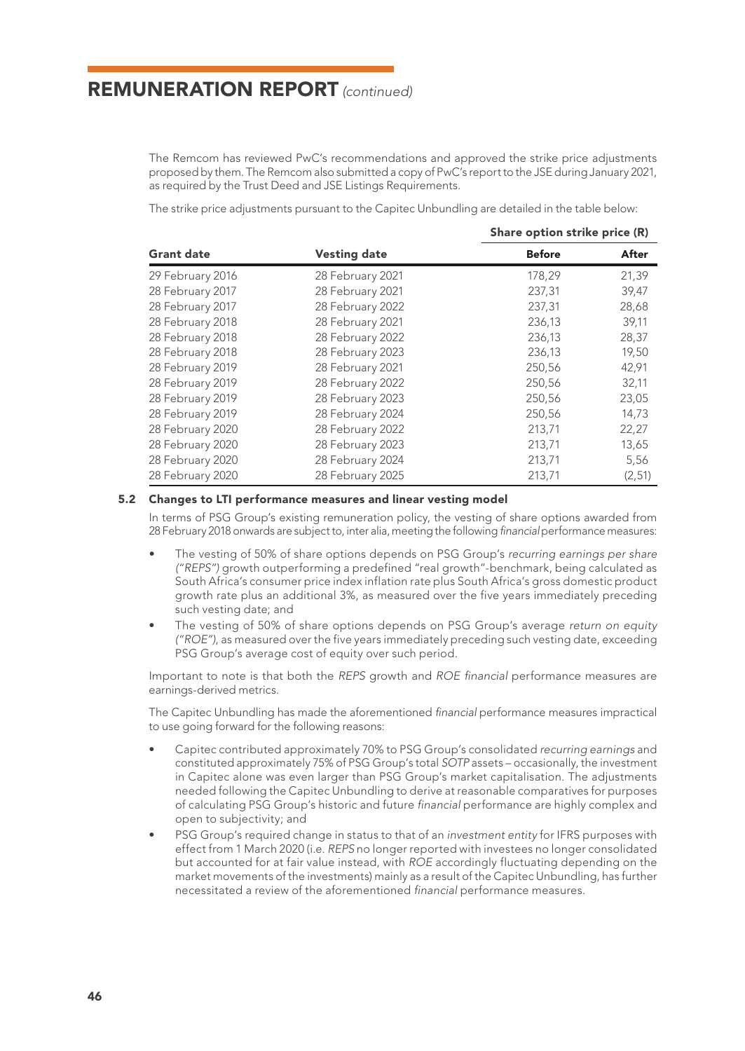The Remcom has reviewed PwC's recommendations and approved the strike price adjustments proposed by them. The Remcom also submitted a copy of PwC's report to the JSE during January 2021, as required by the Trust Deed and JSE Listings Requirements.

The strike price adjustments pursuant to the Capitec Unbundling are detailed in the table below:

|                   |                  | Share option strike price (R) |         |
|-------------------|------------------|-------------------------------|---------|
| <b>Grant date</b> | Vesting date     | <b>Before</b>                 | After   |
| 29 February 2016  | 28 February 2021 | 178,29                        | 21,39   |
| 28 February 2017  | 28 February 2021 | 237,31                        | 39,47   |
| 28 February 2017  | 28 February 2022 | 237,31                        | 28,68   |
| 28 February 2018  | 28 February 2021 | 236,13                        | 39,11   |
| 28 February 2018  | 28 February 2022 | 236,13                        | 28,37   |
| 28 February 2018  | 28 February 2023 | 236,13                        | 19,50   |
| 28 February 2019  | 28 February 2021 | 250,56                        | 42,91   |
| 28 February 2019  | 28 February 2022 | 250,56                        | 32,11   |
| 28 February 2019  | 28 February 2023 | 250,56                        | 23,05   |
| 28 February 2019  | 28 February 2024 | 250,56                        | 14,73   |
| 28 February 2020  | 28 February 2022 | 213,71                        | 22,27   |
| 28 February 2020  | 28 February 2023 | 213,71                        | 13,65   |
| 28 February 2020  | 28 February 2024 | 213,71                        | 5,56    |
| 28 February 2020  | 28 February 2025 | 213,71                        | (2, 51) |

#### 5.2 Changes to LTI performance measures and linear vesting model

In terms of PSG Group's existing remuneration policy, the vesting of share options awarded from 28 February 2018 onwards are subject to, inter alia, meeting the following *financial* performance measures:

- The vesting of 50% of share options depends on PSG Group's *recurring earnings per share ("REPS")* growth outperforming a predefined "real growth"-benchmark, being calculated as South Africa's consumer price index inflation rate plus South Africa's gross domestic product growth rate plus an additional 3%, as measured over the five years immediately preceding such vesting date; and
- The vesting of 50% of share options depends on PSG Group's average *return on equity ("ROE")*, as measured over the five years immediately preceding such vesting date, exceeding PSG Group's average cost of equity over such period.

Important to note is that both the *REPS* growth and *ROE financial* performance measures are earnings-derived metrics.

The Capitec Unbundling has made the aforementioned *financial* performance measures impractical to use going forward for the following reasons:

- Capitec contributed approximately 70% to PSG Group's consolidated *recurring earnings* and constituted approximately 75% of PSG Group's total *SOTP* assets – occasionally, the investment in Capitec alone was even larger than PSG Group's market capitalisation. The adjustments needed following the Capitec Unbundling to derive at reasonable comparatives for purposes of calculating PSG Group's historic and future *financial* performance are highly complex and open to subjectivity; and
- PSG Group's required change in status to that of an *investment entity* for IFRS purposes with effect from 1 March 2020 (i.e. *REPS* no longer reported with investees no longer consolidated but accounted for at fair value instead, with *ROE* accordingly fluctuating depending on the market movements of the investments) mainly as a result of the Capitec Unbundling, has further necessitated a review of the aforementioned *financial* performance measures.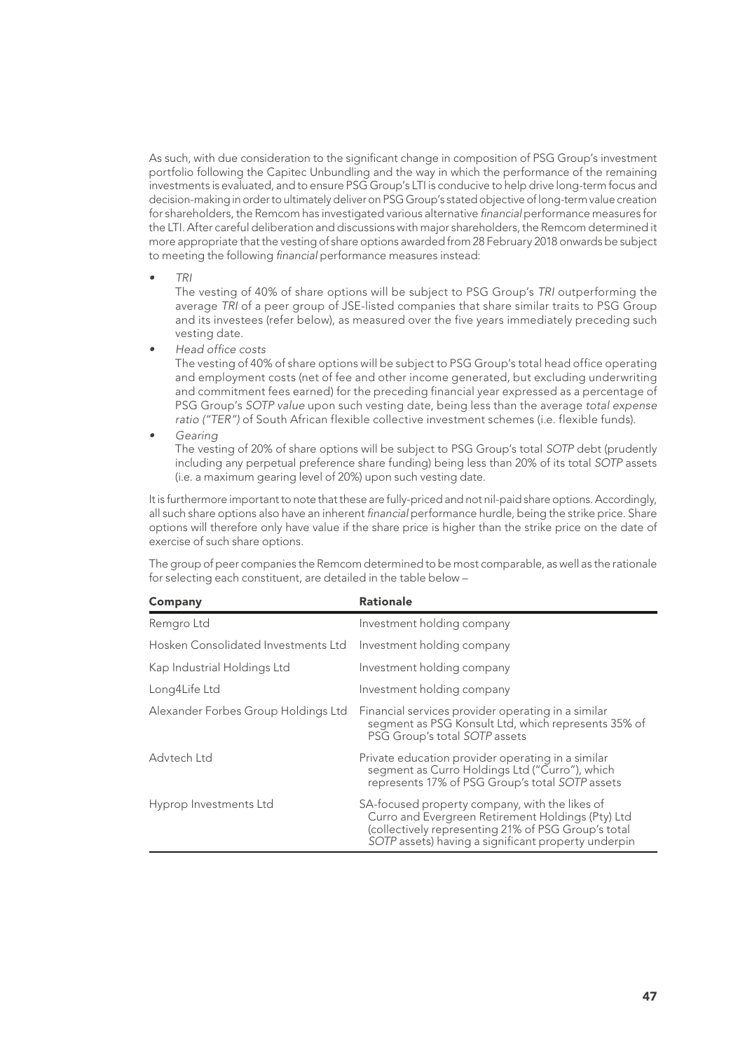As such, with due consideration to the significant change in composition of PSG Group's investment portfolio following the Capitec Unbundling and the way in which the performance of the remaining investments is evaluated, and to ensure PSG Group's LTI is conducive to help drive long-term focus and decision-making in order to ultimately deliver on PSG Group's stated objective of long-term value creation for shareholders, the Remcom has investigated various alternative *financial* performance measures for the LTI. After careful deliberation and discussions with major shareholders, the Remcom determined it more appropriate that the vesting of share options awarded from 28 February 2018 onwards be subject to meeting the following *financial* performance measures instead:

*• TRI*

The vesting of 40% of share options will be subject to PSG Group's *TRI* outperforming the average *TRI* of a peer group of JSE-listed companies that share similar traits to PSG Group and its investees (refer below), as measured over the five years immediately preceding such vesting date.

*• Head office costs*

The vesting of 40% of share options will be subject to PSG Group's total head office operating and employment costs (net of fee and other income generated, but excluding underwriting and commitment fees earned) for the preceding financial year expressed as a percentage of PSG Group's *SOTP value* upon such vesting date, being less than the average *total expense ratio ("TER")* of South African flexible collective investment schemes (i.e. flexible funds).

*• Gearing*

The vesting of 20% of share options will be subject to PSG Group's total *SOTP* debt (prudently including any perpetual preference share funding) being less than 20% of its total *SOTP* assets (i.e. a maximum gearing level of 20%) upon such vesting date.

It is furthermore important to note that these are fully-priced and not nil-paid share options. Accordingly, all such share options also have an inherent *financial* performance hurdle, being the strike price. Share options will therefore only have value if the share price is higher than the strike price on the date of exercise of such share options.

The group of peer companies the Remcom determined to be most comparable, as well as the rationale for selecting each constituent, are detailed in the table below –

| Company                             | <b>Rationale</b>                                                                                                                                                                                                  |
|-------------------------------------|-------------------------------------------------------------------------------------------------------------------------------------------------------------------------------------------------------------------|
| Remgro Ltd                          | Investment holding company                                                                                                                                                                                        |
| Hosken Consolidated Investments Ltd | Investment holding company                                                                                                                                                                                        |
| Kap Industrial Holdings Ltd         | Investment holding company                                                                                                                                                                                        |
| Long4Life Ltd                       | Investment holding company                                                                                                                                                                                        |
| Alexander Forbes Group Holdings Ltd | Financial services provider operating in a similar<br>segment as PSG Konsult Ltd, which represents 35% of<br>PSG Group's total SOTP assets                                                                        |
| Advtech Ltd                         | Private education provider operating in a similar<br>segment as Curro Holdings Ltd ("Curro"), which<br>represents 17% of PSG Group's total SOTP assets                                                            |
| Hyprop Investments Ltd              | SA-focused property company, with the likes of<br>Curro and Evergreen Retirement Holdings (Pty) Ltd<br>(collectively representing 21% of PSG Group's total<br>SOTP assets) having a significant property underpin |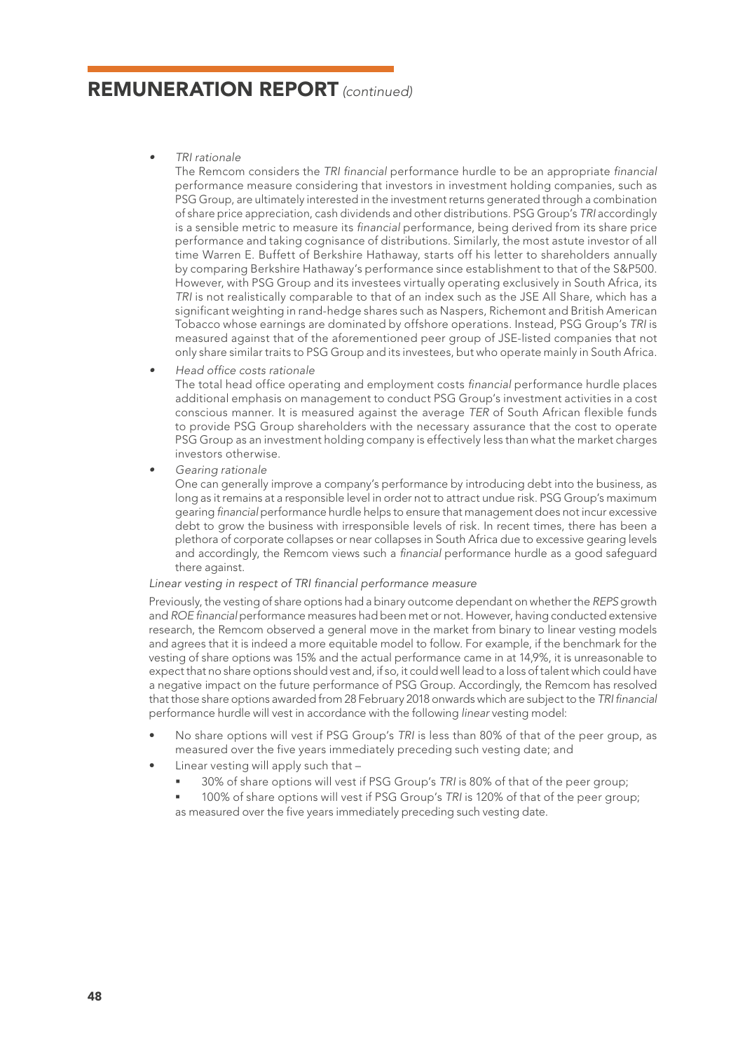### *• TRI rationale*

The Remcom considers the *TRI financial* performance hurdle to be an appropriate *financial* performance measure considering that investors in investment holding companies, such as PSG Group, are ultimately interested in the investment returns generated through a combination of share price appreciation, cash dividends and other distributions. PSG Group's *TRI* accordingly is a sensible metric to measure its *financial* performance, being derived from its share price performance and taking cognisance of distributions. Similarly, the most astute investor of all time Warren E. Buffett of Berkshire Hathaway, starts off his letter to shareholders annually by comparing Berkshire Hathaway's performance since establishment to that of the S&P500. However, with PSG Group and its investees virtually operating exclusively in South Africa, its *TRI* is not realistically comparable to that of an index such as the JSE All Share, which has a significant weighting in rand-hedge shares such as Naspers, Richemont and British American Tobacco whose earnings are dominated by offshore operations. Instead, PSG Group's *TRI* is measured against that of the aforementioned peer group of JSE-listed companies that not only share similar traits to PSG Group and its investees, but who operate mainly in South Africa.

*• Head office costs rationale*

The total head office operating and employment costs *financial* performance hurdle places additional emphasis on management to conduct PSG Group's investment activities in a cost conscious manner. It is measured against the average *TER* of South African flexible funds to provide PSG Group shareholders with the necessary assurance that the cost to operate PSG Group as an investment holding company is effectively less than what the market charges investors otherwise.

*• Gearing rationale*

One can generally improve a company's performance by introducing debt into the business, as long as it remains at a responsible level in order not to attract undue risk. PSG Group's maximum gearing *financial* performance hurdle helps to ensure that management does not incur excessive debt to grow the business with irresponsible levels of risk. In recent times, there has been a plethora of corporate collapses or near collapses in South Africa due to excessive gearing levels and accordingly, the Remcom views such a *financial* performance hurdle as a good safeguard there against.

### *Linear vesting in respect of TRI financial performance measure*

Previously, the vesting of share options had a binary outcome dependant on whether the *REPS* growth and *ROE financial* performance measures had been met or not. However, having conducted extensive research, the Remcom observed a general move in the market from binary to linear vesting models and agrees that it is indeed a more equitable model to follow. For example, if the benchmark for the vesting of share options was 15% and the actual performance came in at 14,9%, it is unreasonable to expect that no share options should vest and, if so, it could well lead to a loss of talent which could have a negative impact on the future performance of PSG Group. Accordingly, the Remcom has resolved that those share options awarded from 28 February 2018 onwards which are subject to the *TRI financial* performance hurdle will vest in accordance with the following *linear* vesting model:

- No share options will vest if PSG Group's *TRI* is less than 80% of that of the peer group, as measured over the five years immediately preceding such vesting date; and
- Linear vesting will apply such that -
	- 30% of share options will vest if PSG Group's *TRI* is 80% of that of the peer group;
	- 100% of share options will vest if PSG Group's *TRI* is 120% of that of the peer group; as measured over the five years immediately preceding such vesting date.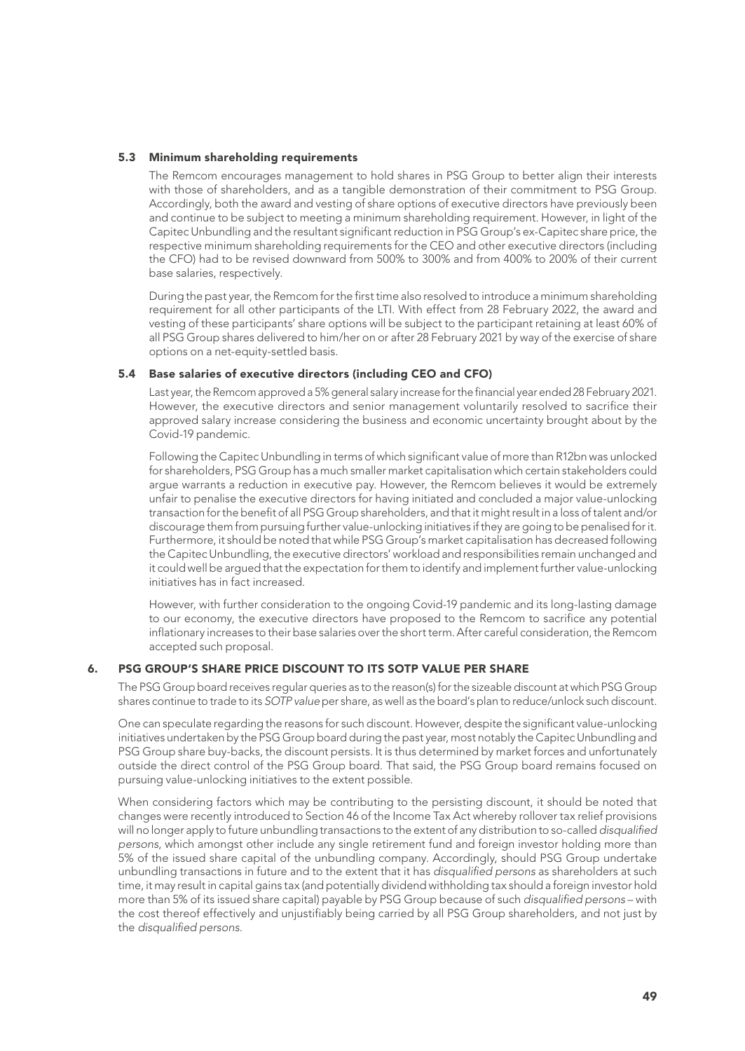#### 5.3 Minimum shareholding requirements

The Remcom encourages management to hold shares in PSG Group to better align their interests with those of shareholders, and as a tangible demonstration of their commitment to PSG Group. Accordingly, both the award and vesting of share options of executive directors have previously been and continue to be subject to meeting a minimum shareholding requirement. However, in light of the Capitec Unbundling and the resultant significant reduction in PSG Group's ex-Capitec share price, the respective minimum shareholding requirements for the CEO and other executive directors (including the CFO) had to be revised downward from 500% to 300% and from 400% to 200% of their current base salaries, respectively.

During the past year, the Remcom for the first time also resolved to introduce a minimum shareholding requirement for all other participants of the LTI. With effect from 28 February 2022, the award and vesting of these participants' share options will be subject to the participant retaining at least 60% of all PSG Group shares delivered to him/her on or after 28 February 2021 by way of the exercise of share options on a net-equity-settled basis.

#### 5.4 Base salaries of executive directors (including CEO and CFO)

Last year, the Remcom approved a 5% general salary increase for the financial year ended 28 February 2021. However, the executive directors and senior management voluntarily resolved to sacrifice their approved salary increase considering the business and economic uncertainty brought about by the Covid-19 pandemic.

Following the Capitec Unbundling in terms of which significant value of more than R12bn was unlocked for shareholders, PSG Group has a much smaller market capitalisation which certain stakeholders could argue warrants a reduction in executive pay. However, the Remcom believes it would be extremely unfair to penalise the executive directors for having initiated and concluded a major value-unlocking transaction for the benefit of all PSG Group shareholders, and that it might result in a loss of talent and/or discourage them from pursuing further value-unlocking initiatives if they are going to be penalised for it. Furthermore, it should be noted that while PSG Group's market capitalisation has decreased following the Capitec Unbundling, the executive directors' workload and responsibilities remain unchanged and it could well be argued that the expectation for them to identify and implement further value-unlocking initiatives has in fact increased.

However, with further consideration to the ongoing Covid-19 pandemic and its long-lasting damage to our economy, the executive directors have proposed to the Remcom to sacrifice any potential inflationary increases to their base salaries over the short term. After careful consideration, the Remcom accepted such proposal.

### 6. PSG GROUP'S SHARE PRICE DISCOUNT TO ITS SOTP VALUE PER SHARE

The PSG Group board receives regular queries as to the reason(s) for the sizeable discount at which PSG Group shares continue to trade to its *SOTP value* per share, as well as the board's plan to reduce/unlock such discount.

One can speculate regarding the reasons for such discount. However, despite the significant value-unlocking initiatives undertaken by the PSG Group board during the past year, most notably the Capitec Unbundling and PSG Group share buy-backs, the discount persists. It is thus determined by market forces and unfortunately outside the direct control of the PSG Group board. That said, the PSG Group board remains focused on pursuing value-unlocking initiatives to the extent possible.

When considering factors which may be contributing to the persisting discount, it should be noted that changes were recently introduced to Section 46 of the Income Tax Act whereby rollover tax relief provisions will no longer apply to future unbundling transactions to the extent of any distribution to so-called *disqualified persons*, which amongst other include any single retirement fund and foreign investor holding more than 5% of the issued share capital of the unbundling company. Accordingly, should PSG Group undertake unbundling transactions in future and to the extent that it has *disqualified persons* as shareholders at such time, it may result in capital gains tax (and potentially dividend withholding tax should a foreign investor hold more than 5% of its issued share capital) payable by PSG Group because of such *disqualified persons* – with the cost thereof effectively and unjustifiably being carried by all PSG Group shareholders, and not just by the *disqualified persons*.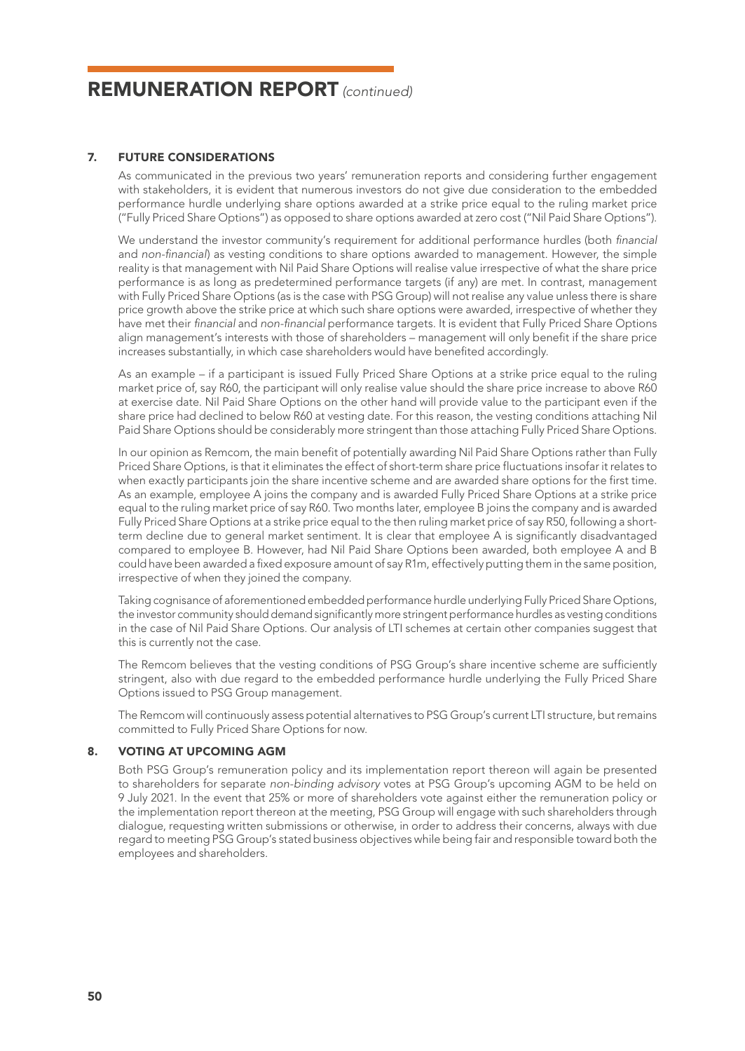### 7. FUTURE CONSIDERATIONS

As communicated in the previous two years' remuneration reports and considering further engagement with stakeholders, it is evident that numerous investors do not give due consideration to the embedded performance hurdle underlying share options awarded at a strike price equal to the ruling market price ("Fully Priced Share Options") as opposed to share options awarded at zero cost ("Nil Paid Share Options").

We understand the investor community's requirement for additional performance hurdles (both *financial* and *non-financial*) as vesting conditions to share options awarded to management. However, the simple reality is that management with Nil Paid Share Options will realise value irrespective of what the share price performance is as long as predetermined performance targets (if any) are met. In contrast, management with Fully Priced Share Options (as is the case with PSG Group) will not realise any value unless there is share price growth above the strike price at which such share options were awarded, irrespective of whether they have met their *financial* and *non-financial* performance targets. It is evident that Fully Priced Share Options align management's interests with those of shareholders – management will only benefit if the share price increases substantially, in which case shareholders would have benefited accordingly.

As an example – if a participant is issued Fully Priced Share Options at a strike price equal to the ruling market price of, say R60, the participant will only realise value should the share price increase to above R60 at exercise date. Nil Paid Share Options on the other hand will provide value to the participant even if the share price had declined to below R60 at vesting date. For this reason, the vesting conditions attaching Nil Paid Share Options should be considerably more stringent than those attaching Fully Priced Share Options.

In our opinion as Remcom, the main benefit of potentially awarding Nil Paid Share Options rather than Fully Priced Share Options, is that it eliminates the effect of short-term share price fluctuations insofar it relates to when exactly participants join the share incentive scheme and are awarded share options for the first time. As an example, employee A joins the company and is awarded Fully Priced Share Options at a strike price equal to the ruling market price of say R60. Two months later, employee B joins the company and is awarded Fully Priced Share Options at a strike price equal to the then ruling market price of say R50, following a shortterm decline due to general market sentiment. It is clear that employee A is significantly disadvantaged compared to employee B. However, had Nil Paid Share Options been awarded, both employee A and B could have been awarded a fixed exposure amount of say R1m, effectively putting them in the same position, irrespective of when they joined the company.

Taking cognisance of aforementioned embedded performance hurdle underlying Fully Priced Share Options, the investor community should demand significantly more stringent performance hurdles as vesting conditions in the case of Nil Paid Share Options. Our analysis of LTI schemes at certain other companies suggest that this is currently not the case.

The Remcom believes that the vesting conditions of PSG Group's share incentive scheme are sufficiently stringent, also with due regard to the embedded performance hurdle underlying the Fully Priced Share Options issued to PSG Group management.

The Remcom will continuously assess potential alternatives to PSG Group's current LTI structure, but remains committed to Fully Priced Share Options for now.

### 8. VOTING AT UPCOMING AGM

Both PSG Group's remuneration policy and its implementation report thereon will again be presented to shareholders for separate *non-binding advisory* votes at PSG Group's upcoming AGM to be held on 9 July 2021. In the event that 25% or more of shareholders vote against either the remuneration policy or the implementation report thereon at the meeting, PSG Group will engage with such shareholders through dialogue, requesting written submissions or otherwise, in order to address their concerns, always with due regard to meeting PSG Group's stated business objectives while being fair and responsible toward both the employees and shareholders.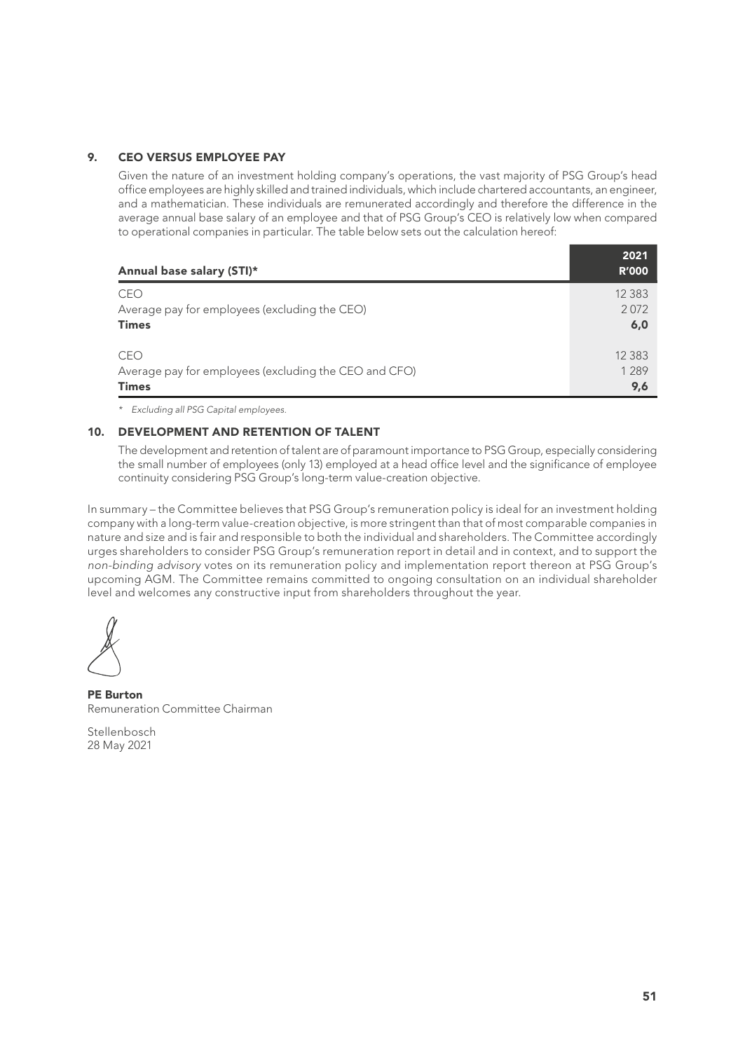### 9. CEO VERSUS EMPLOYEE PAY

Given the nature of an investment holding company's operations, the vast majority of PSG Group's head office employees are highly skilled and trained individuals, which include chartered accountants, an engineer, and a mathematician. These individuals are remunerated accordingly and therefore the difference in the average annual base salary of an employee and that of PSG Group's CEO is relatively low when compared to operational companies in particular. The table below sets out the calculation hereof:

| Annual base salary (STI)*                             | 2021<br><b>R'000</b> |
|-------------------------------------------------------|----------------------|
| CEO                                                   | 12 3 8 3             |
| Average pay for employees (excluding the CEO)         | 2072                 |
| <b>Times</b>                                          | 6,0                  |
| CEO                                                   | 12 3 8 3             |
| Average pay for employees (excluding the CEO and CFO) | 1 2 8 9              |
| <b>Times</b>                                          | 9,6                  |

*\* Excluding all PSG Capital employees.*

## 10. DEVELOPMENT AND RETENTION OF TALENT

The development and retention of talent are of paramount importance to PSG Group, especially considering the small number of employees (only 13) employed at a head office level and the significance of employee continuity considering PSG Group's long-term value-creation objective.

In summary – the Committee believes that PSG Group's remuneration policy is ideal for an investment holding company with a long-term value-creation objective, is more stringent than that of most comparable companies in nature and size and is fair and responsible to both the individual and shareholders. The Committee accordingly urges shareholders to consider PSG Group's remuneration report in detail and in context, and to support the *non-binding advisory* votes on its remuneration policy and implementation report thereon at PSG Group's upcoming AGM. The Committee remains committed to ongoing consultation on an individual shareholder level and welcomes any constructive input from shareholders throughout the year.

PE Burton Remuneration Committee Chairman

Stellenbosch 28 May 2021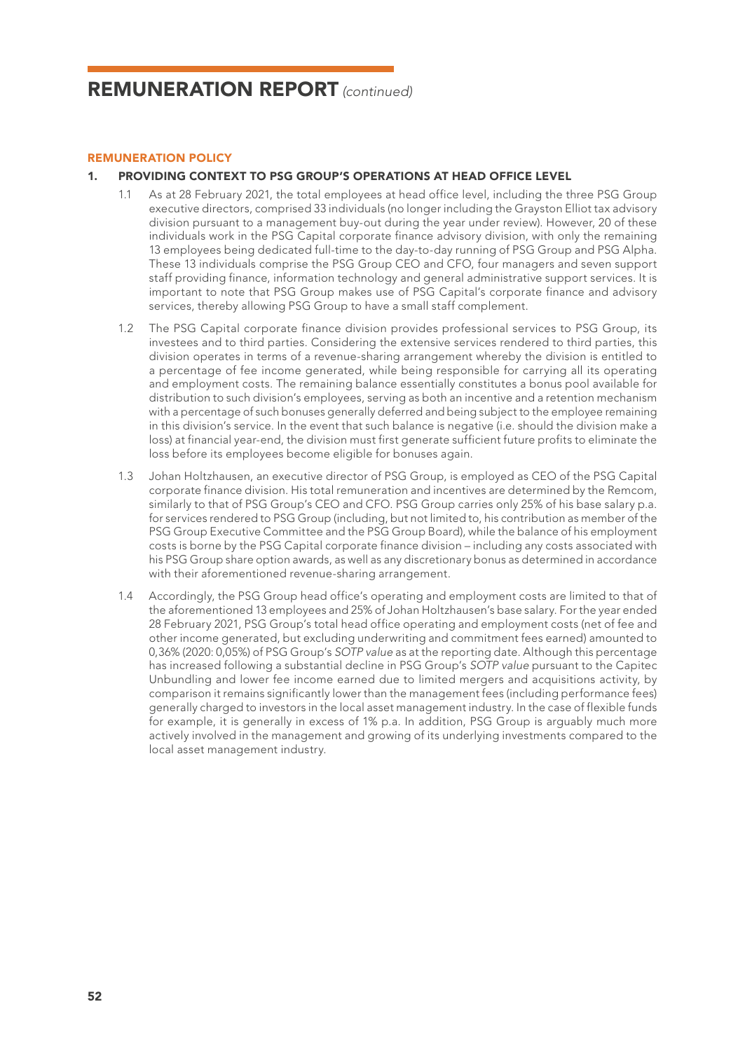### REMUNERATION POLICY

## 1. PROVIDING CONTEXT TO PSG GROUP'S OPERATIONS AT HEAD OFFICE LEVEL

- 1.1 As at 28 February 2021, the total employees at head office level, including the three PSG Group executive directors, comprised 33 individuals (no longer including the Grayston Elliot tax advisory division pursuant to a management buy-out during the year under review). However, 20 of these individuals work in the PSG Capital corporate finance advisory division, with only the remaining 13 employees being dedicated full-time to the day-to-day running of PSG Group and PSG Alpha. These 13 individuals comprise the PSG Group CEO and CFO, four managers and seven support staff providing finance, information technology and general administrative support services. It is important to note that PSG Group makes use of PSG Capital's corporate finance and advisory services, thereby allowing PSG Group to have a small staff complement.
- 1.2 The PSG Capital corporate finance division provides professional services to PSG Group, its investees and to third parties. Considering the extensive services rendered to third parties, this division operates in terms of a revenue-sharing arrangement whereby the division is entitled to a percentage of fee income generated, while being responsible for carrying all its operating and employment costs. The remaining balance essentially constitutes a bonus pool available for distribution to such division's employees, serving as both an incentive and a retention mechanism with a percentage of such bonuses generally deferred and being subject to the employee remaining in this division's service. In the event that such balance is negative (i.e. should the division make a loss) at financial year-end, the division must first generate sufficient future profits to eliminate the loss before its employees become eligible for bonuses again.
- 1.3 Johan Holtzhausen, an executive director of PSG Group, is employed as CEO of the PSG Capital corporate finance division. His total remuneration and incentives are determined by the Remcom, similarly to that of PSG Group's CEO and CFO. PSG Group carries only 25% of his base salary p.a. for services rendered to PSG Group (including, but not limited to, his contribution as member of the PSG Group Executive Committee and the PSG Group Board), while the balance of his employment costs is borne by the PSG Capital corporate finance division – including any costs associated with his PSG Group share option awards, as well as any discretionary bonus as determined in accordance with their aforementioned revenue-sharing arrangement.
- 1.4 Accordingly, the PSG Group head office's operating and employment costs are limited to that of the aforementioned 13 employees and 25% of Johan Holtzhausen's base salary. For the year ended 28 February 2021, PSG Group's total head office operating and employment costs (net of fee and other income generated, but excluding underwriting and commitment fees earned) amounted to 0,36% (2020: 0,05%) of PSG Group's *SOTP value* as at the reporting date. Although this percentage has increased following a substantial decline in PSG Group's *SOTP value* pursuant to the Capitec Unbundling and lower fee income earned due to limited mergers and acquisitions activity, by comparison it remains significantly lower than the management fees (including performance fees) generally charged to investors in the local asset management industry. In the case of flexible funds for example, it is generally in excess of 1% p.a. In addition, PSG Group is arguably much more actively involved in the management and growing of its underlying investments compared to the local asset management industry.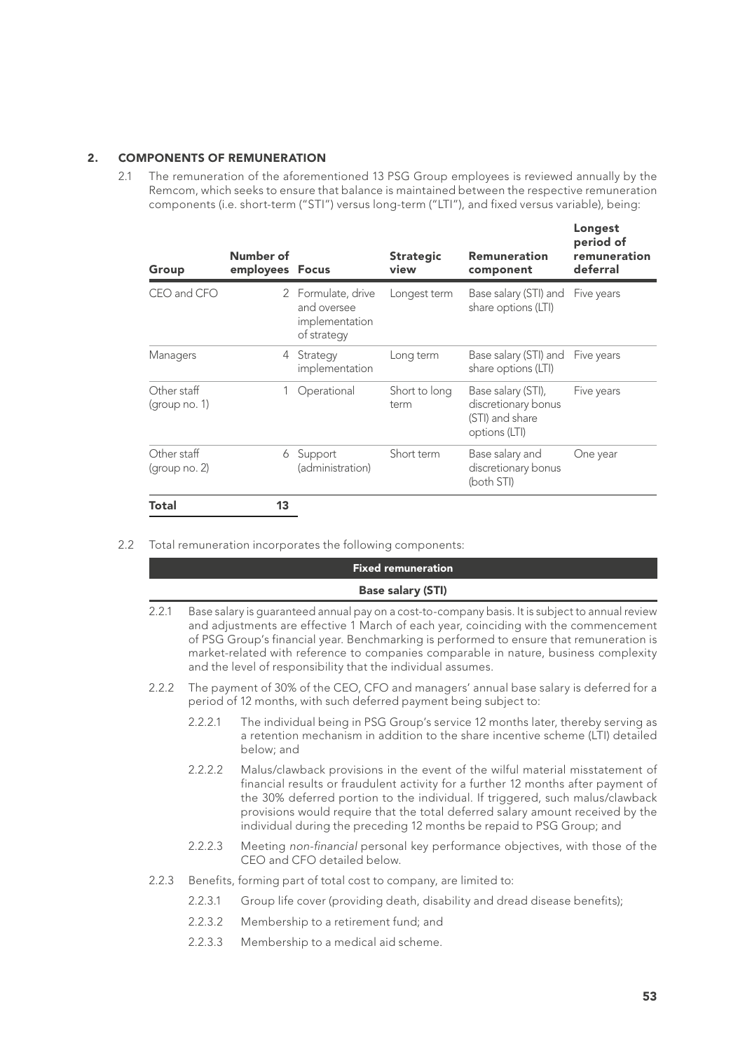## 2. COMPONENTS OF REMUNERATION

2.1 The remuneration of the aforementioned 13 PSG Group employees is reviewed annually by the Remcom, which seeks to ensure that balance is maintained between the respective remuneration components (i.e. short-term ("STI") versus long-term ("LTI"), and fixed versus variable), being:

| Group                        | Number of<br>employees Focus |                                                                    | <b>Strategic</b><br>view | <b>Remuneration</b><br>component                                              | Longest<br>period of<br>remuneration<br>deferral |
|------------------------------|------------------------------|--------------------------------------------------------------------|--------------------------|-------------------------------------------------------------------------------|--------------------------------------------------|
| CEO and CFO                  |                              | 2 Formulate, drive<br>and oversee<br>implementation<br>of strategy | Longest term             | Base salary (STI) and<br>share options (LTI)                                  | Five years                                       |
| Managers                     | 4                            | Strategy<br>implementation                                         | Long term                | Base salary (STI) and Five years<br>share options (LTI)                       |                                                  |
| Other staff<br>(group no. 1) | 1                            | Operational                                                        | Short to long<br>term    | Base salary (STI),<br>discretionary bonus<br>(STI) and share<br>options (LTI) | Five years                                       |
| Other staff<br>(group no. 2) | 6                            | Support<br>(administration)                                        | Short term               | Base salary and<br>discretionary bonus<br>(both STI)                          | One year                                         |
| Total                        | 13                           |                                                                    |                          |                                                                               |                                                  |

2.2 Total remuneration incorporates the following components:

|       |         | <b>Fixed remuneration</b>                                                                                                                                                                                                                                                                                                                                                                                                                  |
|-------|---------|--------------------------------------------------------------------------------------------------------------------------------------------------------------------------------------------------------------------------------------------------------------------------------------------------------------------------------------------------------------------------------------------------------------------------------------------|
|       |         | <b>Base salary (STI)</b>                                                                                                                                                                                                                                                                                                                                                                                                                   |
| 2.2.1 |         | Base salary is quaranteed annual pay on a cost-to-company basis. It is subject to annual review<br>and adjustments are effective 1 March of each year, coinciding with the commencement<br>of PSG Group's financial year. Benchmarking is performed to ensure that remuneration is<br>market-related with reference to companies comparable in nature, business complexity<br>and the level of responsibility that the individual assumes. |
| 2.2.2 |         | The payment of 30% of the CEO, CFO and managers' annual base salary is deferred for a<br>period of 12 months, with such deferred payment being subject to:                                                                                                                                                                                                                                                                                 |
|       | 2.2.2.1 | The individual being in PSG Group's service 12 months later, thereby serving as<br>a retention mechanism in addition to the share incentive scheme (LTI) detailed<br>below; and                                                                                                                                                                                                                                                            |
|       | 2.2.2.2 | Malus/clawback provisions in the event of the wilful material misstatement of<br>financial results or fraudulent activity for a further 12 months after payment of<br>the 30% deferred portion to the individual. If triggered, such malus/clawback<br>provisions would require that the total deferred salary amount received by the<br>individual during the preceding 12 months be repaid to PSG Group; and                             |
|       | 2.2.2.3 | Meeting non-financial personal key performance objectives, with those of the<br>CEO and CFO detailed below.                                                                                                                                                                                                                                                                                                                                |
| 2.2.3 |         | Benefits, forming part of total cost to company, are limited to:                                                                                                                                                                                                                                                                                                                                                                           |
|       | 2.2.3.1 | Group life cover (providing death, disability and dread disease benefits);                                                                                                                                                                                                                                                                                                                                                                 |
|       | 2.2.3.2 | Membership to a retirement fund; and                                                                                                                                                                                                                                                                                                                                                                                                       |
|       |         |                                                                                                                                                                                                                                                                                                                                                                                                                                            |

2.2.3.3 Membership to a medical aid scheme.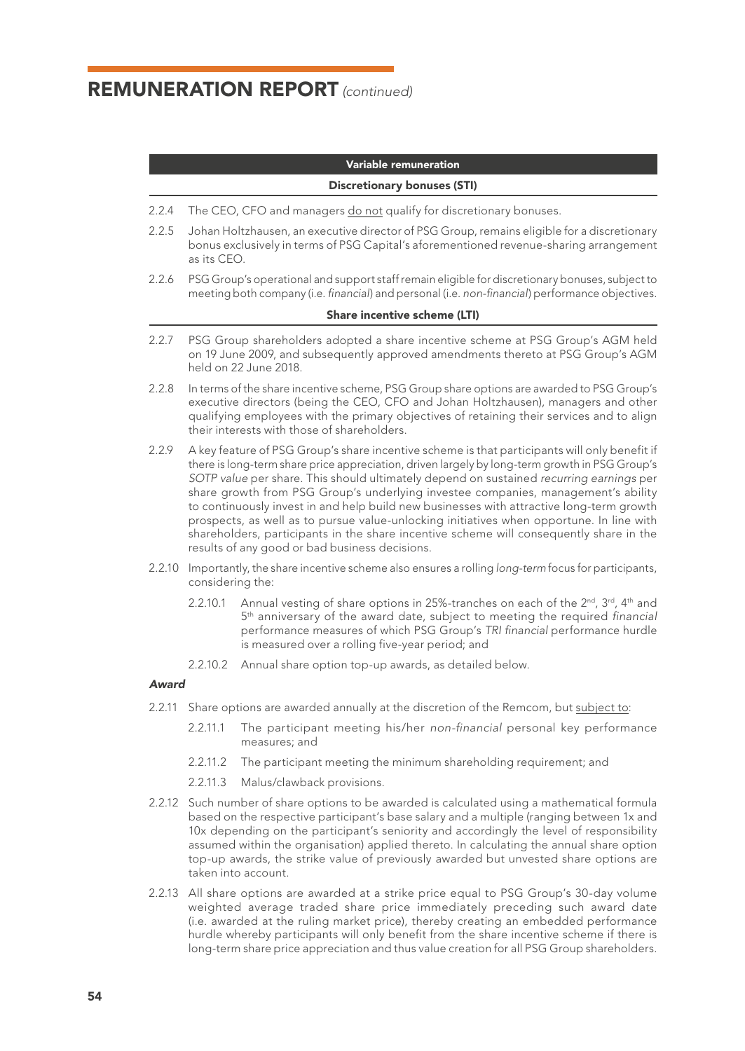### Variable remuneration

#### Discretionary bonuses (STI)

- 2.2.4 The CEO, CFO and managers do not qualify for discretionary bonuses.
- 2.2.5 Johan Holtzhausen, an executive director of PSG Group, remains eligible for a discretionary bonus exclusively in terms of PSG Capital's aforementioned revenue-sharing arrangement as its CEO.
- 2.2.6 PSG Group's operational and support staff remain eligible for discretionary bonuses, subject to meeting both company (i.e. *financial*) and personal (i.e. *non-financial*) performance objectives.

#### Share incentive scheme (LTI)

- 2.2.7 PSG Group shareholders adopted a share incentive scheme at PSG Group's AGM held on 19 June 2009, and subsequently approved amendments thereto at PSG Group's AGM held on 22 June 2018.
- 2.2.8 In terms of the share incentive scheme, PSG Group share options are awarded to PSG Group's executive directors (being the CEO, CFO and Johan Holtzhausen), managers and other qualifying employees with the primary objectives of retaining their services and to align their interests with those of shareholders.
- 2.2.9 A key feature of PSG Group's share incentive scheme is that participants will only benefit if there is long-term share price appreciation, driven largely by long-term growth in PSG Group's *SOTP value* per share. This should ultimately depend on sustained *recurring earnings* per share growth from PSG Group's underlying investee companies, management's ability to continuously invest in and help build new businesses with attractive long-term growth prospects, as well as to pursue value-unlocking initiatives when opportune. In line with shareholders, participants in the share incentive scheme will consequently share in the results of any good or bad business decisions.
- 2.2.10 Importantly, the share incentive scheme also ensures a rolling *long-term* focus for participants, considering the:
	- 2.2.10.1 Annual vesting of share options in 25%-tranches on each of the  $2^{nd}$ ,  $3^{rd}$ ,  $4^{th}$  and 5th anniversary of the award date, subject to meeting the required *financial* performance measures of which PSG Group's *TRI financial* performance hurdle is measured over a rolling five-year period; and
	- 2.2.10.2 Annual share option top-up awards, as detailed below.

## *Award*

- 2.2.11 Share options are awarded annually at the discretion of the Remcom, but subject to:
	- 2.2.11.1 The participant meeting his/her *non-financial* personal key performance measures; and
	- 2.2.11.2 The participant meeting the minimum shareholding requirement; and
	- 2.2.11.3 Malus/clawback provisions.
- 2.2.12 Such number of share options to be awarded is calculated using a mathematical formula based on the respective participant's base salary and a multiple (ranging between 1x and 10x depending on the participant's seniority and accordingly the level of responsibility assumed within the organisation) applied thereto. In calculating the annual share option top-up awards, the strike value of previously awarded but unvested share options are taken into account.
- 2.2.13 All share options are awarded at a strike price equal to PSG Group's 30-day volume weighted average traded share price immediately preceding such award date (i.e. awarded at the ruling market price), thereby creating an embedded performance hurdle whereby participants will only benefit from the share incentive scheme if there is long-term share price appreciation and thus value creation for all PSG Group shareholders.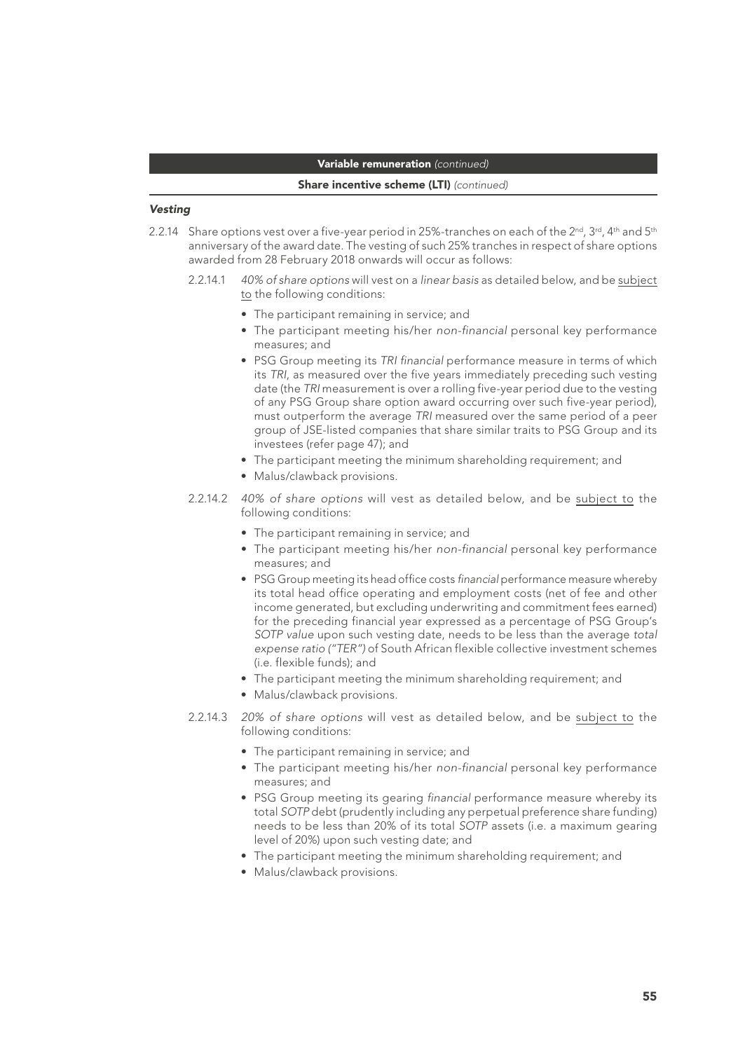## Variable remuneration *(continued)*

#### Share incentive scheme (LTI) *(continued)*

#### *Vesting*

- 2.2.14 Share options vest over a five-year period in 25%-tranches on each of the 2<sup>nd</sup>, 3<sup>rd</sup>, 4<sup>th</sup> and 5<sup>th</sup> anniversary of the award date. The vesting of such 25% tranches in respect of share options awarded from 28 February 2018 onwards will occur as follows:
	- 2.2.14.1 *40% of share options* will vest on a *linear basis* as detailed below, and be subject to the following conditions:
		- The participant remaining in service; and
		- The participant meeting his/her *non-financial* personal key performance measures; and
		- PSG Group meeting its *TRI financial* performance measure in terms of which its *TRI*, as measured over the five years immediately preceding such vesting date (the *TRI* measurement is over a rolling five-year period due to the vesting of any PSG Group share option award occurring over such five-year period), must outperform the average *TRI* measured over the same period of a peer group of JSE-listed companies that share similar traits to PSG Group and its investees (refer page 47); and
		- The participant meeting the minimum shareholding requirement; and
		- Malus/clawback provisions.
	- 2.2.14.2 *40% of share options* will vest as detailed below, and be subject to the following conditions:
		- The participant remaining in service; and
		- The participant meeting his/her *non-financial* personal key performance measures; and
		- PSG Group meeting its head office costs *financial* performance measure whereby its total head office operating and employment costs (net of fee and other income generated, but excluding underwriting and commitment fees earned) for the preceding financial year expressed as a percentage of PSG Group's *SOTP value* upon such vesting date, needs to be less than the average *total expense ratio ("TER")* of South African flexible collective investment schemes (i.e. flexible funds); and
		- The participant meeting the minimum shareholding requirement; and
		- Malus/clawback provisions.
	- 2.2.14.3 *20% of share options* will vest as detailed below, and be subject to the following conditions:
		- The participant remaining in service; and
		- The participant meeting his/her *non-financial* personal key performance measures; and
		- PSG Group meeting its gearing *financial* performance measure whereby its total *SOTP* debt (prudently including any perpetual preference share funding) needs to be less than 20% of its total *SOTP* assets (i.e. a maximum gearing level of 20%) upon such vesting date; and
		- The participant meeting the minimum shareholding requirement; and
		- Malus/clawback provisions.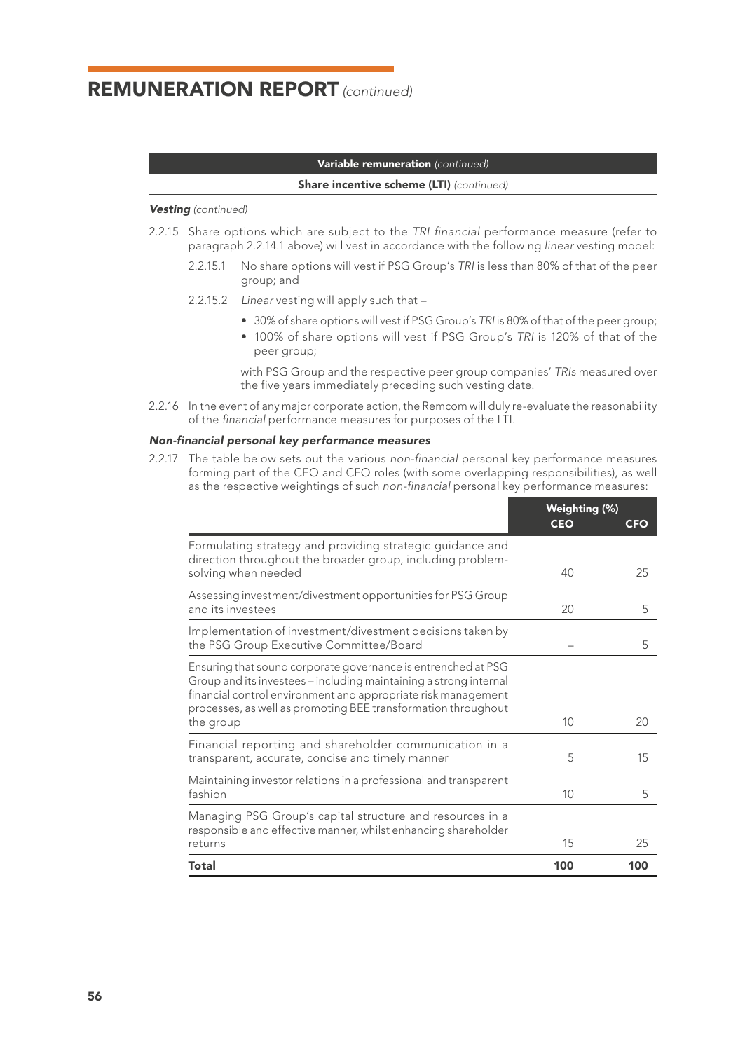## Variable remuneration *(continued)*

#### Share incentive scheme (LTI) *(continued)*

### *Vesting (continued)*

- 2.2.15 Share options which are subject to the *TRI financial* performance measure (refer to paragraph 2.2.14.1 above) will vest in accordance with the following *linear* vesting model:
	- 2.2.15.1 No share options will vest if PSG Group's *TRI* is less than 80% of that of the peer group; and
	- 2.2.15.2 *Linear* vesting will apply such that
		- 30% of share options will vest if PSG Group's *TRI* is 80% of that of the peer group;
		- 100% of share options will vest if PSG Group's *TRI* is 120% of that of the peer group;

with PSG Group and the respective peer group companies' *TRIs* measured over the five years immediately preceding such vesting date.

2.2.16 In the event of any major corporate action, the Remcom will duly re-evaluate the reasonability of the *financial* performance measures for purposes of the LTI.

#### *Non-financial personal key performance measures*

2.2.17 The table below sets out the various *non-financial* personal key performance measures forming part of the CEO and CFO roles (with some overlapping responsibilities), as well as the respective weightings of such *non-financial* personal key performance measures:

|                                                                                                                                                                                                                                                                                   | Weighting (%) |     |
|-----------------------------------------------------------------------------------------------------------------------------------------------------------------------------------------------------------------------------------------------------------------------------------|---------------|-----|
|                                                                                                                                                                                                                                                                                   | <b>CEO</b>    | CFO |
| Formulating strategy and providing strategic guidance and<br>direction throughout the broader group, including problem-<br>solving when needed                                                                                                                                    | 40            | 25  |
| Assessing investment/divestment opportunities for PSG Group<br>and its investees                                                                                                                                                                                                  | 20            | 5   |
| Implementation of investment/divestment decisions taken by<br>the PSG Group Executive Committee/Board                                                                                                                                                                             |               | 5   |
| Ensuring that sound corporate governance is entrenched at PSG<br>Group and its investees - including maintaining a strong internal<br>financial control environment and appropriate risk management<br>processes, as well as promoting BEE transformation throughout<br>the group | 10            | 20  |
| Financial reporting and shareholder communication in a<br>transparent, accurate, concise and timely manner                                                                                                                                                                        | 5             | 15  |
| Maintaining investor relations in a professional and transparent<br>fashion                                                                                                                                                                                                       | 10            | 5   |
| Managing PSG Group's capital structure and resources in a<br>responsible and effective manner, whilst enhancing shareholder<br>returns                                                                                                                                            | 15            | 25  |
| Total                                                                                                                                                                                                                                                                             | 100           | 100 |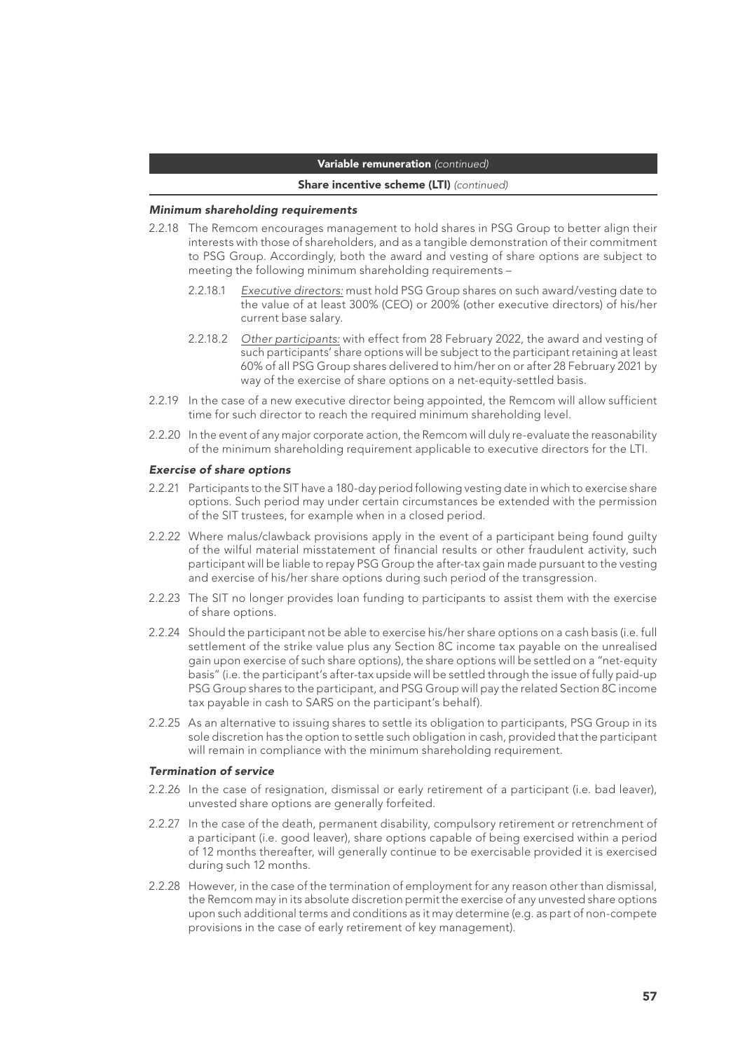### Variable remuneration *(continued)*

#### Share incentive scheme (LTI) *(continued)*

#### *Minimum shareholding requirements*

- 2.2.18 The Remcom encourages management to hold shares in PSG Group to better align their interests with those of shareholders, and as a tangible demonstration of their commitment to PSG Group. Accordingly, both the award and vesting of share options are subject to meeting the following minimum shareholding requirements –
	- 2.2.18.1 *Executive directors:* must hold PSG Group shares on such award/vesting date to the value of at least 300% (CEO) or 200% (other executive directors) of his/her current base salary.
	- 2.2.18.2 *Other participants:* with effect from 28 February 2022, the award and vesting of such participants' share options will be subject to the participant retaining at least 60% of all PSG Group shares delivered to him/her on or after 28 February 2021 by way of the exercise of share options on a net-equity-settled basis.
- 2.2.19 In the case of a new executive director being appointed, the Remcom will allow sufficient time for such director to reach the required minimum shareholding level.
- 2.2.20 In the event of any major corporate action, the Remcom will duly re-evaluate the reasonability of the minimum shareholding requirement applicable to executive directors for the LTI.

#### *Exercise of share options*

- 2.2.21 Participants to the SIT have a 180-day period following vesting date in which to exercise share options. Such period may under certain circumstances be extended with the permission of the SIT trustees, for example when in a closed period.
- 2.2.22 Where malus/clawback provisions apply in the event of a participant being found guilty of the wilful material misstatement of financial results or other fraudulent activity, such participant will be liable to repay PSG Group the after-tax gain made pursuant to the vesting and exercise of his/her share options during such period of the transgression.
- 2.2.23 The SIT no longer provides loan funding to participants to assist them with the exercise of share options.
- 2.2.24 Should the participant not be able to exercise his/her share options on a cash basis (i.e. full settlement of the strike value plus any Section 8C income tax payable on the unrealised gain upon exercise of such share options), the share options will be settled on a "net-equity basis" (i.e. the participant's after-tax upside will be settled through the issue of fully paid-up PSG Group shares to the participant, and PSG Group will pay the related Section 8C income tax payable in cash to SARS on the participant's behalf).
- 2.2.25 As an alternative to issuing shares to settle its obligation to participants, PSG Group in its sole discretion has the option to settle such obligation in cash, provided that the participant will remain in compliance with the minimum shareholding requirement.

#### *Termination of service*

- 2.2.26 In the case of resignation, dismissal or early retirement of a participant (i.e. bad leaver), unvested share options are generally forfeited.
- 2.2.27 In the case of the death, permanent disability, compulsory retirement or retrenchment of a participant (i.e. good leaver), share options capable of being exercised within a period of 12 months thereafter, will generally continue to be exercisable provided it is exercised during such 12 months.
- 2.2.28 However, in the case of the termination of employment for any reason other than dismissal, the Remcom may in its absolute discretion permit the exercise of any unvested share options upon such additional terms and conditions as it may determine (e.g. as part of non-compete provisions in the case of early retirement of key management).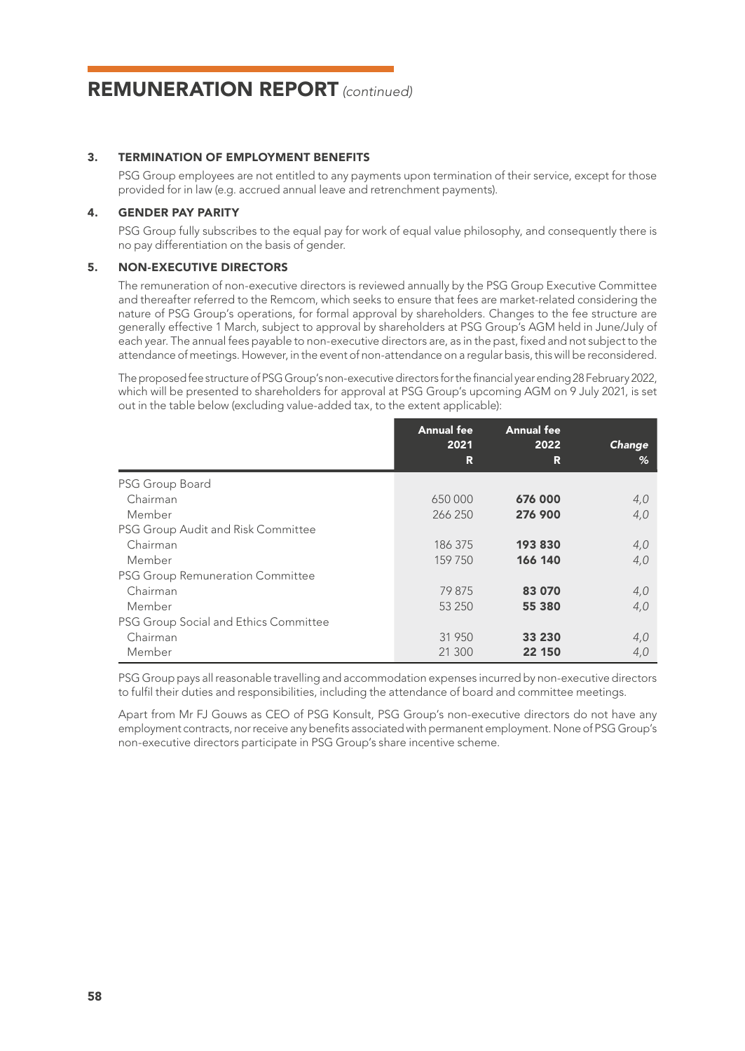### 3. TERMINATION OF EMPLOYMENT BENEFITS

PSG Group employees are not entitled to any payments upon termination of their service, except for those provided for in law (e.g. accrued annual leave and retrenchment payments).

### 4. GENDER PAY PARITY

PSG Group fully subscribes to the equal pay for work of equal value philosophy, and consequently there is no pay differentiation on the basis of gender.

### 5. NON-EXECUTIVE DIRECTORS

The remuneration of non-executive directors is reviewed annually by the PSG Group Executive Committee and thereafter referred to the Remcom, which seeks to ensure that fees are market-related considering the nature of PSG Group's operations, for formal approval by shareholders. Changes to the fee structure are generally effective 1 March, subject to approval by shareholders at PSG Group's AGM held in June/July of each year. The annual fees payable to non-executive directors are, as in the past, fixed and not subject to the attendance of meetings. However, in the event of non-attendance on a regular basis, this will be reconsidered.

The proposed fee structure of PSG Group's non-executive directors for the financial year ending 28 February 2022, which will be presented to shareholders for approval at PSG Group's upcoming AGM on 9 July 2021, is set out in the table below (excluding value-added tax, to the extent applicable):

|                                         | <b>Annual fee</b> | <b>Annual fee</b> |        |
|-----------------------------------------|-------------------|-------------------|--------|
|                                         | 2021              | 2022              | Change |
|                                         | R                 | R                 | %      |
| PSG Group Board                         |                   |                   |        |
| Chairman                                | 650000            | 676 000           | 4,0    |
| Member                                  | 266 250           | 276 900           | 4,0    |
| PSG Group Audit and Risk Committee      |                   |                   |        |
| Chairman                                | 186 375           | 193830            | 4,0    |
| Member                                  | 159 750           | 166 140           | 4,0    |
| <b>PSG Group Remuneration Committee</b> |                   |                   |        |
| Chairman                                | 79 875            | 83 070            | 4,0    |
| Member                                  | 53 250            | 55 380            | 4,0    |
| PSG Group Social and Ethics Committee   |                   |                   |        |
| Chairman                                | 31 950            | 33 230            | 4,0    |
| Member                                  | 21 300            | 22 150            | 4,0    |

PSG Group pays all reasonable travelling and accommodation expenses incurred by non-executive directors to fulfil their duties and responsibilities, including the attendance of board and committee meetings.

Apart from Mr FJ Gouws as CEO of PSG Konsult, PSG Group's non-executive directors do not have any employment contracts, nor receive any benefits associated with permanent employment. None of PSG Group's non-executive directors participate in PSG Group's share incentive scheme.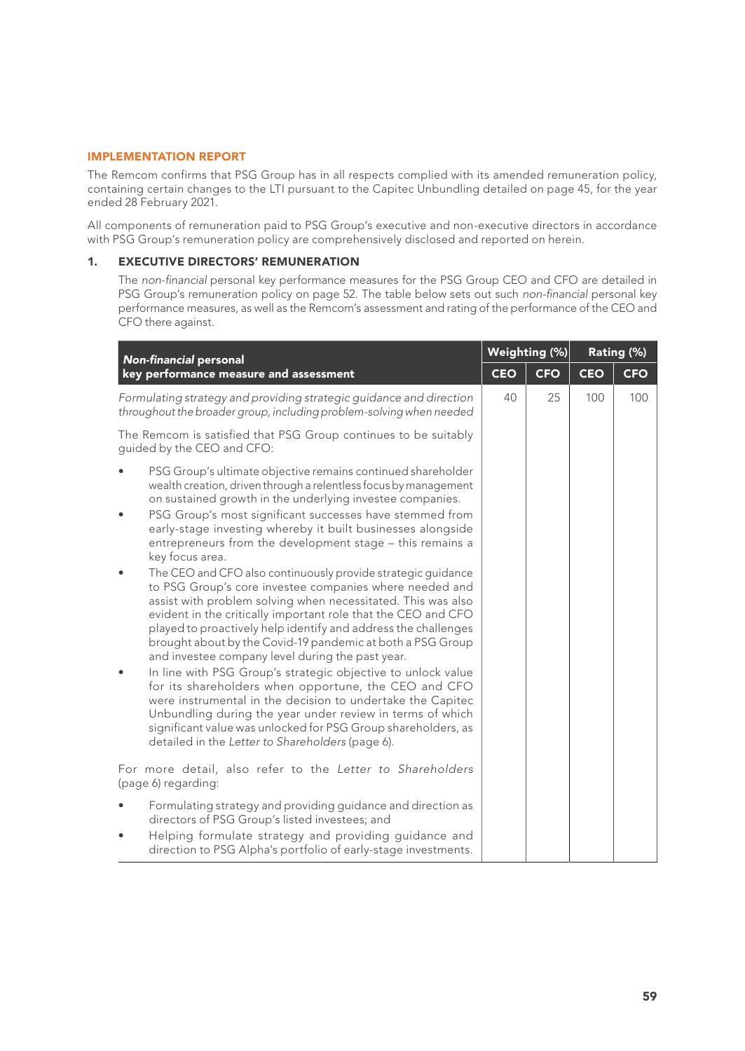## IMPLEMENTATION REPORT

The Remcom confirms that PSG Group has in all respects complied with its amended remuneration policy, containing certain changes to the LTI pursuant to the Capitec Unbundling detailed on page 45, for the year ended 28 February 2021.

All components of remuneration paid to PSG Group's executive and non-executive directors in accordance with PSG Group's remuneration policy are comprehensively disclosed and reported on herein.

## 1. EXECUTIVE DIRECTORS' REMUNERATION

The *non-financial* personal key performance measures for the PSG Group CEO and CFO are detailed in PSG Group's remuneration policy on page 52. The table below sets out such *non-financial* personal key performance measures, as well as the Remcom's assessment and rating of the performance of the CEO and CFO there against.

| <b>Non-financial personal</b>                                                                                                                                                                                                                                                                                                                                                                                                                                                                                                                                                                                                                                                                                                                                                                                                                                                                                                                                                                                                                                                                                                                                                                                                    | Weighting (%) |            | Rating (%) |            |  |
|----------------------------------------------------------------------------------------------------------------------------------------------------------------------------------------------------------------------------------------------------------------------------------------------------------------------------------------------------------------------------------------------------------------------------------------------------------------------------------------------------------------------------------------------------------------------------------------------------------------------------------------------------------------------------------------------------------------------------------------------------------------------------------------------------------------------------------------------------------------------------------------------------------------------------------------------------------------------------------------------------------------------------------------------------------------------------------------------------------------------------------------------------------------------------------------------------------------------------------|---------------|------------|------------|------------|--|
| key performance measure and assessment                                                                                                                                                                                                                                                                                                                                                                                                                                                                                                                                                                                                                                                                                                                                                                                                                                                                                                                                                                                                                                                                                                                                                                                           | <b>CEO</b>    | <b>CFO</b> | <b>CEO</b> | <b>CFO</b> |  |
| Formulating strategy and providing strategic guidance and direction<br>throughout the broader group, including problem-solving when needed                                                                                                                                                                                                                                                                                                                                                                                                                                                                                                                                                                                                                                                                                                                                                                                                                                                                                                                                                                                                                                                                                       | 40            | 25         | 100        | 100        |  |
| The Remcom is satisfied that PSG Group continues to be suitably<br>quided by the CEO and CFO:                                                                                                                                                                                                                                                                                                                                                                                                                                                                                                                                                                                                                                                                                                                                                                                                                                                                                                                                                                                                                                                                                                                                    |               |            |            |            |  |
| PSG Group's ultimate objective remains continued shareholder<br>wealth creation, driven through a relentless focus by management<br>on sustained growth in the underlying investee companies.<br>PSG Group's most significant successes have stemmed from<br>early-stage investing whereby it built businesses alongside<br>entrepreneurs from the development stage - this remains a<br>key focus area.<br>The CEO and CFO also continuously provide strategic quidance<br>to PSG Group's core investee companies where needed and<br>assist with problem solving when necessitated. This was also<br>evident in the critically important role that the CEO and CFO<br>played to proactively help identify and address the challenges<br>brought about by the Covid-19 pandemic at both a PSG Group<br>and investee company level during the past year.<br>In line with PSG Group's strategic objective to unlock value<br>for its shareholders when opportune, the CEO and CFO<br>were instrumental in the decision to undertake the Capitec<br>Unbundling during the year under review in terms of which<br>significant value was unlocked for PSG Group shareholders, as<br>detailed in the Letter to Shareholders (page 6). |               |            |            |            |  |
| For more detail, also refer to the Letter to Shareholders<br>(page 6) regarding:                                                                                                                                                                                                                                                                                                                                                                                                                                                                                                                                                                                                                                                                                                                                                                                                                                                                                                                                                                                                                                                                                                                                                 |               |            |            |            |  |
| Formulating strategy and providing guidance and direction as<br>directors of PSG Group's listed investees; and                                                                                                                                                                                                                                                                                                                                                                                                                                                                                                                                                                                                                                                                                                                                                                                                                                                                                                                                                                                                                                                                                                                   |               |            |            |            |  |
| Helping formulate strategy and providing quidance and<br>direction to PSG Alpha's portfolio of early-stage investments.                                                                                                                                                                                                                                                                                                                                                                                                                                                                                                                                                                                                                                                                                                                                                                                                                                                                                                                                                                                                                                                                                                          |               |            |            |            |  |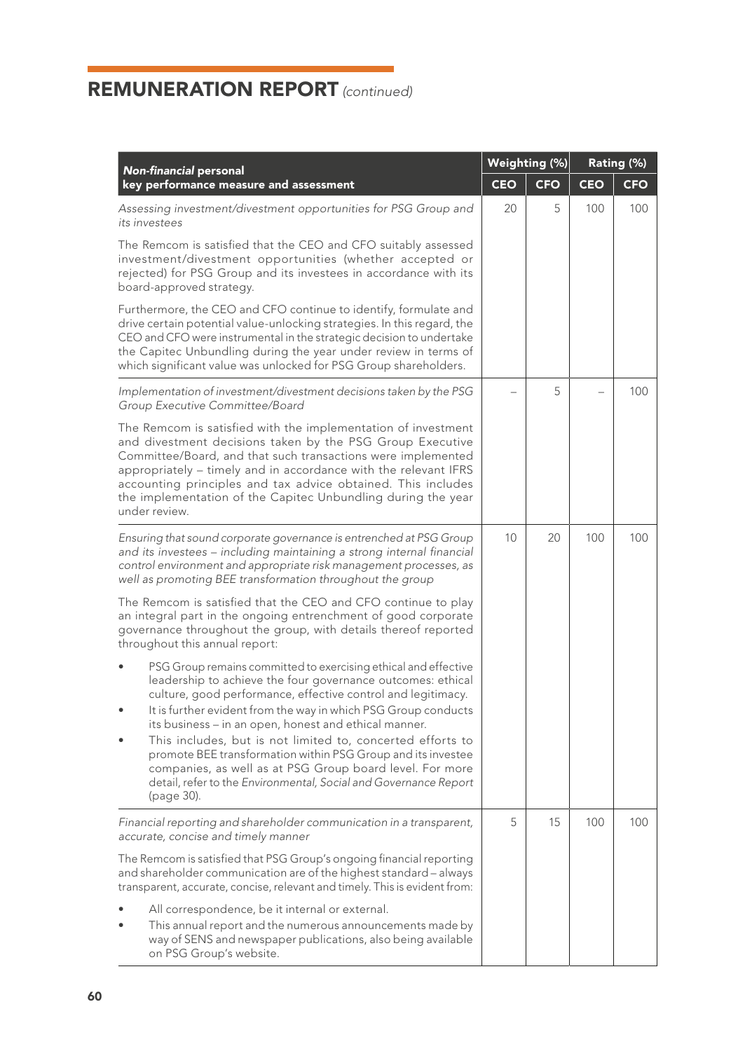| <b>Non-financial personal</b>                                                                                                                                                                                                                                                                                                                                                                                                                                                                                                                                                                         | Weighting (%) |            |     | Rating (%) |  |
|-------------------------------------------------------------------------------------------------------------------------------------------------------------------------------------------------------------------------------------------------------------------------------------------------------------------------------------------------------------------------------------------------------------------------------------------------------------------------------------------------------------------------------------------------------------------------------------------------------|---------------|------------|-----|------------|--|
| key performance measure and assessment                                                                                                                                                                                                                                                                                                                                                                                                                                                                                                                                                                | <b>CEO</b>    | <b>CFO</b> | CEO | <b>CFO</b> |  |
| Assessing investment/divestment opportunities for PSG Group and<br>its investees                                                                                                                                                                                                                                                                                                                                                                                                                                                                                                                      | 20            | 5          | 100 | 100        |  |
| The Remcom is satisfied that the CEO and CFO suitably assessed<br>investment/divestment opportunities (whether accepted or<br>rejected) for PSG Group and its investees in accordance with its<br>board-approved strategy.                                                                                                                                                                                                                                                                                                                                                                            |               |            |     |            |  |
| Furthermore, the CEO and CFO continue to identify, formulate and<br>drive certain potential value-unlocking strategies. In this regard, the<br>CEO and CFO were instrumental in the strategic decision to undertake<br>the Capitec Unbundling during the year under review in terms of<br>which significant value was unlocked for PSG Group shareholders.                                                                                                                                                                                                                                            |               |            |     |            |  |
| Implementation of investment/divestment decisions taken by the PSG<br>Group Executive Committee/Board                                                                                                                                                                                                                                                                                                                                                                                                                                                                                                 |               | 5          |     | 100        |  |
| The Remcom is satisfied with the implementation of investment<br>and divestment decisions taken by the PSG Group Executive<br>Committee/Board, and that such transactions were implemented<br>appropriately - timely and in accordance with the relevant IFRS<br>accounting principles and tax advice obtained. This includes<br>the implementation of the Capitec Unbundling during the year<br>under review.                                                                                                                                                                                        |               |            |     |            |  |
| Ensuring that sound corporate governance is entrenched at PSG Group<br>and its investees - including maintaining a strong internal financial<br>control environment and appropriate risk management processes, as<br>well as promoting BEE transformation throughout the group                                                                                                                                                                                                                                                                                                                        | 10            | 20         | 100 | 100        |  |
| The Remcom is satisfied that the CEO and CFO continue to play<br>an integral part in the ongoing entrenchment of good corporate<br>governance throughout the group, with details thereof reported<br>throughout this annual report:                                                                                                                                                                                                                                                                                                                                                                   |               |            |     |            |  |
| PSG Group remains committed to exercising ethical and effective<br>leadership to achieve the four governance outcomes: ethical<br>culture, good performance, effective control and legitimacy.<br>It is further evident from the way in which PSG Group conducts<br>its business - in an open, honest and ethical manner.<br>This includes, but is not limited to, concerted efforts to<br>promote BEE transformation within PSG Group and its investee<br>companies, as well as at PSG Group board level. For more<br>detail, refer to the Environmental, Social and Governance Report<br>(page 30). |               |            |     |            |  |
| Financial reporting and shareholder communication in a transparent,<br>accurate, concise and timely manner                                                                                                                                                                                                                                                                                                                                                                                                                                                                                            | 5             | 15         | 100 | 100        |  |
| The Remcom is satisfied that PSG Group's ongoing financial reporting<br>and shareholder communication are of the highest standard - always<br>transparent, accurate, concise, relevant and timely. This is evident from:                                                                                                                                                                                                                                                                                                                                                                              |               |            |     |            |  |
| All correspondence, be it internal or external.<br>This annual report and the numerous announcements made by<br>way of SENS and newspaper publications, also being available<br>on PSG Group's website.                                                                                                                                                                                                                                                                                                                                                                                               |               |            |     |            |  |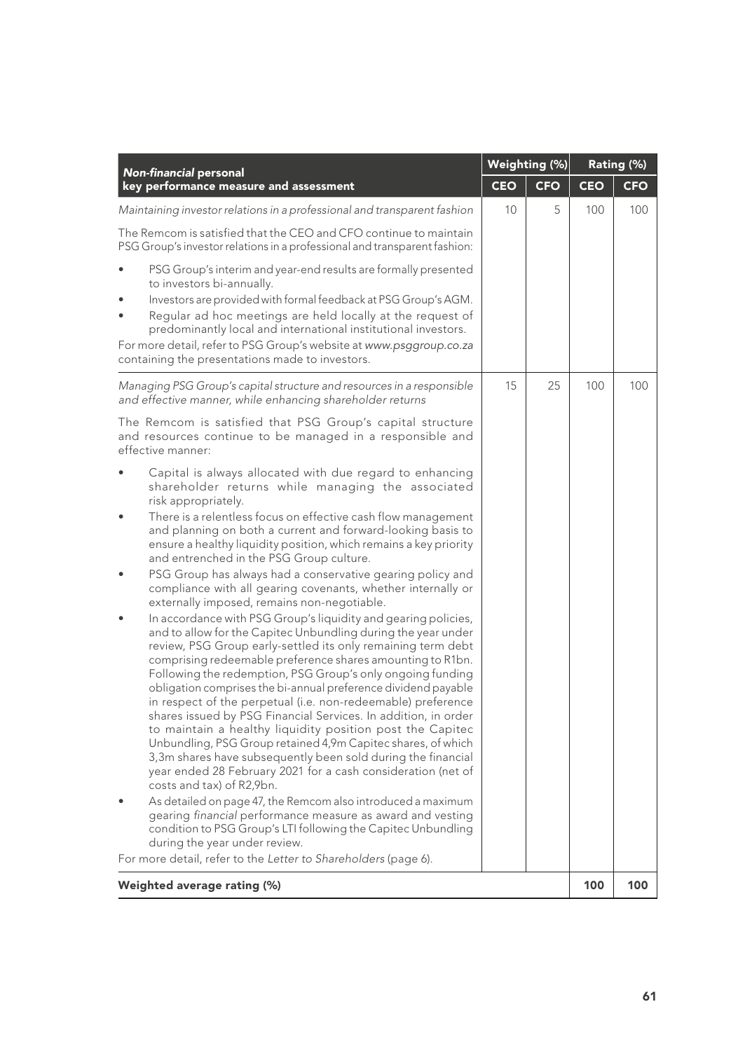| <b>Non-financial personal</b>                                                                                                                                                                                                                                                                                                                                                                                                                                                                                                                                                                                                                                                                                                                                                                                                                                                                                                                                                                                                                                                                                                                                                                                                                                                                                                                                                                                                                                                                                                                                                                                                                                                                     | Weighting (%) |            |            | Rating (%) |
|---------------------------------------------------------------------------------------------------------------------------------------------------------------------------------------------------------------------------------------------------------------------------------------------------------------------------------------------------------------------------------------------------------------------------------------------------------------------------------------------------------------------------------------------------------------------------------------------------------------------------------------------------------------------------------------------------------------------------------------------------------------------------------------------------------------------------------------------------------------------------------------------------------------------------------------------------------------------------------------------------------------------------------------------------------------------------------------------------------------------------------------------------------------------------------------------------------------------------------------------------------------------------------------------------------------------------------------------------------------------------------------------------------------------------------------------------------------------------------------------------------------------------------------------------------------------------------------------------------------------------------------------------------------------------------------------------|---------------|------------|------------|------------|
| key performance measure and assessment                                                                                                                                                                                                                                                                                                                                                                                                                                                                                                                                                                                                                                                                                                                                                                                                                                                                                                                                                                                                                                                                                                                                                                                                                                                                                                                                                                                                                                                                                                                                                                                                                                                            | <b>CEO</b>    | <b>CFO</b> | <b>CEO</b> | <b>CFO</b> |
| Maintaining investor relations in a professional and transparent fashion                                                                                                                                                                                                                                                                                                                                                                                                                                                                                                                                                                                                                                                                                                                                                                                                                                                                                                                                                                                                                                                                                                                                                                                                                                                                                                                                                                                                                                                                                                                                                                                                                          | 10            | 5          | 100        | 100        |
| The Remcom is satisfied that the CEO and CFO continue to maintain<br>PSG Group's investor relations in a professional and transparent fashion:                                                                                                                                                                                                                                                                                                                                                                                                                                                                                                                                                                                                                                                                                                                                                                                                                                                                                                                                                                                                                                                                                                                                                                                                                                                                                                                                                                                                                                                                                                                                                    |               |            |            |            |
| PSG Group's interim and year-end results are formally presented<br>to investors bi-annually.<br>Investors are provided with formal feedback at PSG Group's AGM.<br>Regular ad hoc meetings are held locally at the reguest of<br>predominantly local and international institutional investors.<br>For more detail, refer to PSG Group's website at www.psggroup.co.za<br>containing the presentations made to investors.                                                                                                                                                                                                                                                                                                                                                                                                                                                                                                                                                                                                                                                                                                                                                                                                                                                                                                                                                                                                                                                                                                                                                                                                                                                                         |               |            |            |            |
| Managing PSG Group's capital structure and resources in a responsible<br>and effective manner, while enhancing shareholder returns                                                                                                                                                                                                                                                                                                                                                                                                                                                                                                                                                                                                                                                                                                                                                                                                                                                                                                                                                                                                                                                                                                                                                                                                                                                                                                                                                                                                                                                                                                                                                                | 15            | 25         | 100        | 100        |
| The Remcom is satisfied that PSG Group's capital structure<br>and resources continue to be managed in a responsible and<br>effective manner:                                                                                                                                                                                                                                                                                                                                                                                                                                                                                                                                                                                                                                                                                                                                                                                                                                                                                                                                                                                                                                                                                                                                                                                                                                                                                                                                                                                                                                                                                                                                                      |               |            |            |            |
| Capital is always allocated with due regard to enhancing<br>shareholder returns while managing the associated<br>risk appropriately.<br>There is a relentless focus on effective cash flow management<br>and planning on both a current and forward-looking basis to<br>ensure a healthy liquidity position, which remains a key priority<br>and entrenched in the PSG Group culture.<br>PSG Group has always had a conservative gearing policy and<br>compliance with all gearing covenants, whether internally or<br>externally imposed, remains non-negotiable.<br>In accordance with PSG Group's liquidity and gearing policies,<br>and to allow for the Capitec Unbundling during the year under<br>review, PSG Group early-settled its only remaining term debt<br>comprising redeemable preference shares amounting to R1bn.<br>Following the redemption, PSG Group's only ongoing funding<br>obligation comprises the bi-annual preference dividend payable<br>in respect of the perpetual (i.e. non-redeemable) preference<br>shares issued by PSG Financial Services. In addition, in order<br>to maintain a healthy liquidity position post the Capitec<br>Unbundling, PSG Group retained 4,9m Capitec shares, of which<br>3,3m shares have subsequently been sold during the financial<br>year ended 28 February 2021 for a cash consideration (net of<br>costs and tax) of R2,9bn.<br>As detailed on page 47, the Remcom also introduced a maximum<br>gearing financial performance measure as award and vesting<br>condition to PSG Group's LTI following the Capitec Unbundling<br>during the year under review.<br>For more detail, refer to the Letter to Shareholders (page 6). |               |            |            |            |
|                                                                                                                                                                                                                                                                                                                                                                                                                                                                                                                                                                                                                                                                                                                                                                                                                                                                                                                                                                                                                                                                                                                                                                                                                                                                                                                                                                                                                                                                                                                                                                                                                                                                                                   |               |            |            |            |
| Weighted average rating (%)                                                                                                                                                                                                                                                                                                                                                                                                                                                                                                                                                                                                                                                                                                                                                                                                                                                                                                                                                                                                                                                                                                                                                                                                                                                                                                                                                                                                                                                                                                                                                                                                                                                                       |               |            | 100        | 100        |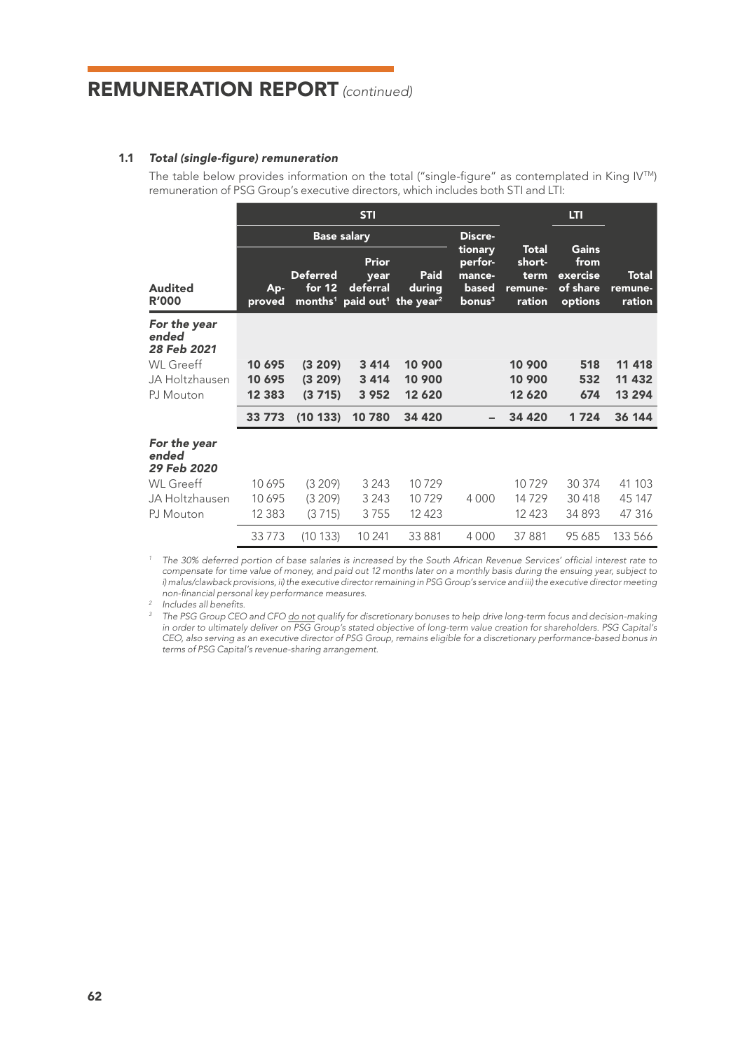### 1.1 *Total (single-figure) remuneration*

The table below provides information on the total ("single-figure" as contemplated in King IVTM) remuneration of PSG Group's executive directors, which includes both STI and LTI:

|                                      |                    |                           | <b>STI</b>                |                                                                                   |                                                             |                                                     |                                                  |                            |
|--------------------------------------|--------------------|---------------------------|---------------------------|-----------------------------------------------------------------------------------|-------------------------------------------------------------|-----------------------------------------------------|--------------------------------------------------|----------------------------|
|                                      | <b>Base salary</b> |                           |                           |                                                                                   | Discre-                                                     |                                                     |                                                  |                            |
| Audited<br><b>R'000</b>              | Ap-<br>proved      | <b>Deferred</b><br>for 12 | Prior<br>year<br>deferral | Paid<br>during<br>months <sup>1</sup> paid out <sup>1</sup> the year <sup>2</sup> | tionary<br>perfor-<br>mance-<br>based<br>bonus <sup>3</sup> | <b>Total</b><br>short-<br>term<br>remune-<br>ration | Gains<br>from<br>exercise<br>of share<br>options | Total<br>remune-<br>ration |
| For the year<br>ended<br>28 Feb 2021 |                    |                           |                           |                                                                                   |                                                             |                                                     |                                                  |                            |
| <b>WL</b> Greeff                     | 10 695             | (3 209)                   | 3 4 1 4                   | 10 900                                                                            |                                                             | 10 900                                              | 518                                              | 11 418                     |
| JA Holtzhausen                       | 10 695             | (3 209)                   | 3 4 1 4<br>3 9 5 2        | 10 900<br>12 6 20                                                                 |                                                             | 10 900<br>12 6 20                                   | 532<br>674                                       | 11 432<br>13 294           |
| PJ Mouton                            | 12 3 8 3           | (3715)                    |                           |                                                                                   |                                                             |                                                     |                                                  |                            |
|                                      | 33 7 7 3           | (10133)                   | 10780                     | 34 4 20                                                                           |                                                             | 34 4 20                                             | 1724                                             | 36 144                     |
| For the year<br>ended<br>29 Feb 2020 |                    |                           |                           |                                                                                   |                                                             |                                                     |                                                  |                            |
| WL Greeff                            | 10 695             | (3 209)                   | 3 2 4 3                   | 10729                                                                             |                                                             | 10729                                               | 30 374                                           | 41 103                     |
| JA Holtzhausen                       | 10 695             | (3 209)                   | 3 2 4 3                   | 10729                                                                             | 4000                                                        | 14729                                               | 30 418                                           | 45 147                     |
| PJ Mouton                            | 12 3 8 3           | (3715)                    | 3755                      | 12 4 23                                                                           |                                                             | 12423                                               | 34893                                            | 47 316                     |
|                                      | 33773              | (10133)                   | 10 241                    | 33 881                                                                            | 4000                                                        | 37 881                                              | 95 685                                           | 133 566                    |

*<sup>1</sup> The 30% deferred portion of base salaries is increased by the South African Revenue Services' official interest rate to compensate for time value of money, and paid out 12 months later on a monthly basis during the ensuing year, subject to i) malus/clawback provisions, ii) the executive director remaining in PSG Group's service and iii) the executive director meeting non-financial personal key performance measures.*

*<sup>2</sup> Includes all benefits.*

<sup>3</sup> The PSG Group CEO and CFO do not qualify for discretionary bonuses to help drive long-term focus and decision-making in order to ultimately deliver on PSG Group's stated objective of long-term value creation for shareholders. PSG Capital's<br>CEO, also serving as an executive director of PSG Group, remains eligible for a discretionary perfo *terms of PSG Capital's revenue-sharing arrangement.*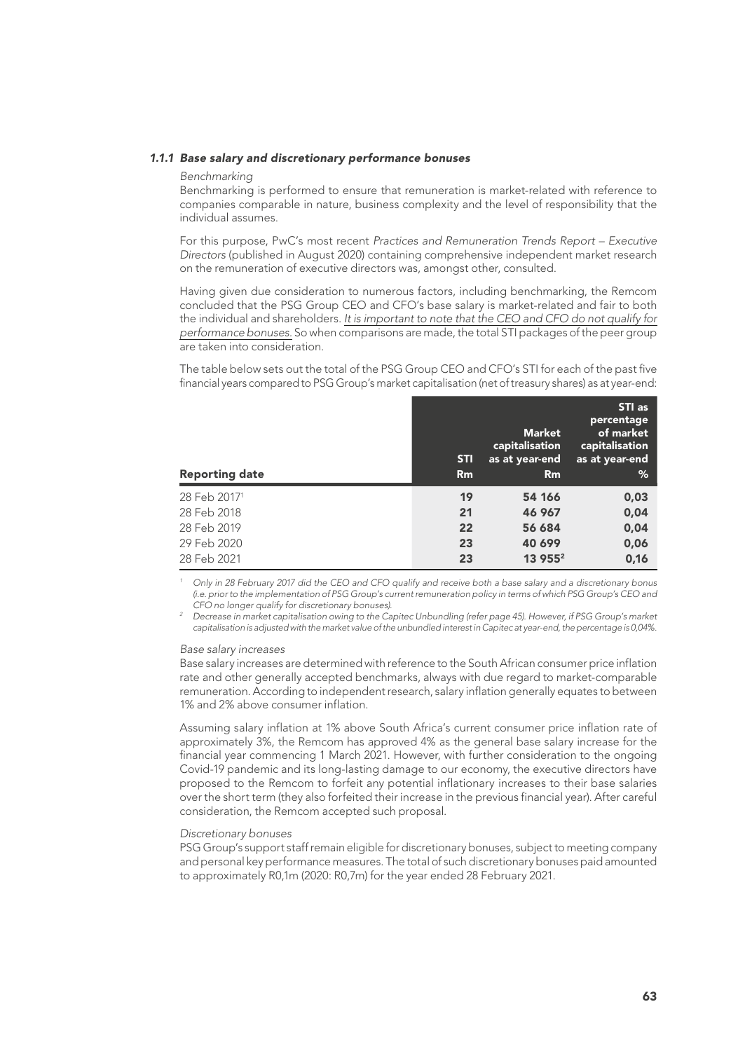#### *1.1.1 Base salary and discretionary performance bonuses*

#### *Benchmarking*

Benchmarking is performed to ensure that remuneration is market-related with reference to companies comparable in nature, business complexity and the level of responsibility that the individual assumes.

For this purpose, PwC's most recent *Practices and Remuneration Trends Report – Executive Directors* (published in August 2020) containing comprehensive independent market research on the remuneration of executive directors was, amongst other, consulted.

Having given due consideration to numerous factors, including benchmarking, the Remcom concluded that the PSG Group CEO and CFO's base salary is market-related and fair to both the individual and shareholders. *It is important to note that the CEO and CFO do not qualify for performance bonuses.* So when comparisons are made, the total STI packages of the peer group are taken into consideration.

The table below sets out the total of the PSG Group CEO and CFO's STI for each of the past five financial years compared to PSG Group's market capitalisation (net of treasury shares) as at year-end:

| <b>Reporting date</b> | <b>STI</b><br>Rm | <b>Market</b><br>capitalisation<br>as at year-end<br>Rm | STI as<br>percentage<br>of market<br>capitalisation<br>as at year-end<br>% |
|-----------------------|------------------|---------------------------------------------------------|----------------------------------------------------------------------------|
| 28 Feb 20171          | 19               | 54 166                                                  | 0,03                                                                       |
| 28 Feb 2018           | 21               | 46 967                                                  | 0,04                                                                       |
| 28 Feb 2019           | 22               | 56 684                                                  | 0,04                                                                       |
| 29 Feb 2020           | 23               | 40 699                                                  | 0,06                                                                       |
| 28 Feb 2021           | 23               | 13 955 <sup>2</sup>                                     | 0,16                                                                       |

*<sup>1</sup> Only in 28 February 2017 did the CEO and CFO qualify and receive both a base salary and a discretionary bonus (i.e. prior to the implementation of PSG Group's current remuneration policy in terms of which PSG Group's CEO and CFO no longer qualify for discretionary bonuses).*

*<sup>2</sup> Decrease in market capitalisation owing to the Capitec Unbundling (refer page 45). However, if PSG Group's market capitalisation is adjusted with the market value of the unbundled interest in Capitec at year-end, the percentage is 0,04%.*

#### *Base salary increases*

Base salary increases are determined with reference to the South African consumer price inflation rate and other generally accepted benchmarks, always with due regard to market-comparable remuneration. According to independent research, salary inflation generally equates to between 1% and 2% above consumer inflation.

Assuming salary inflation at 1% above South Africa's current consumer price inflation rate of approximately 3%, the Remcom has approved 4% as the general base salary increase for the financial year commencing 1 March 2021. However, with further consideration to the ongoing Covid-19 pandemic and its long-lasting damage to our economy, the executive directors have proposed to the Remcom to forfeit any potential inflationary increases to their base salaries over the short term (they also forfeited their increase in the previous financial year). After careful consideration, the Remcom accepted such proposal.

#### *Discretionary bonuses*

PSG Group's support staff remain eligible for discretionary bonuses, subject to meeting company and personal key performance measures. The total of such discretionary bonuses paid amounted to approximately R0,1m (2020: R0,7m) for the year ended 28 February 2021.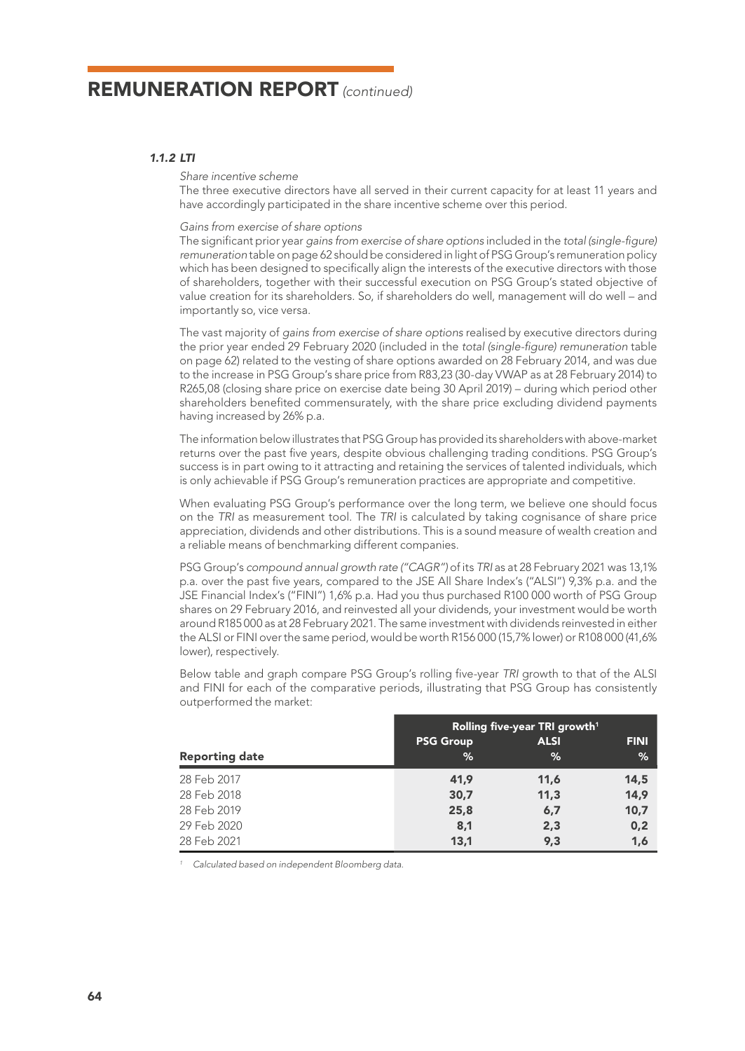## *1.1.2 LTI*

*Share incentive scheme*

The three executive directors have all served in their current capacity for at least 11 years and have accordingly participated in the share incentive scheme over this period.

#### *Gains from exercise of share options*

The significant prior year *gains from exercise of share options* included in the *total (single-figure) remuneration* table on page 62 should be considered in light of PSG Group's remuneration policy which has been designed to specifically align the interests of the executive directors with those of shareholders, together with their successful execution on PSG Group's stated objective of value creation for its shareholders. So, if shareholders do well, management will do well – and importantly so, vice versa.

The vast majority of *gains from exercise of share options* realised by executive directors during the prior year ended 29 February 2020 (included in the *total (single-figure) remuneration* table on page 62) related to the vesting of share options awarded on 28 February 2014, and was due to the increase in PSG Group's share price from R83,23 (30-day VWAP as at 28 February 2014) to R265,08 (closing share price on exercise date being 30 April 2019) – during which period other shareholders benefited commensurately, with the share price excluding dividend payments having increased by 26% p.a.

The information below illustrates that PSG Group has provided its shareholders with above-market returns over the past five years, despite obvious challenging trading conditions. PSG Group's success is in part owing to it attracting and retaining the services of talented individuals, which is only achievable if PSG Group's remuneration practices are appropriate and competitive.

When evaluating PSG Group's performance over the long term, we believe one should focus on the *TRI* as measurement tool. The *TRI* is calculated by taking cognisance of share price appreciation, dividends and other distributions. This is a sound measure of wealth creation and a reliable means of benchmarking different companies.

PSG Group's *compound annual growth rate ("CAGR")* of its *TRI* as at 28 February 2021 was 13,1% p.a. over the past five years, compared to the JSE All Share Index's ("ALSI") 9,3% p.a. and the JSE Financial Index's ("FINI") 1,6% p.a. Had you thus purchased R100 000 worth of PSG Group shares on 29 February 2016, and reinvested all your dividends, your investment would be worth around R185 000 as at 28 February 2021. The same investment with dividends reinvested in either the ALSI or FINI over the same period, would be worth R156 000 (15,7% lower) or R108 000 (41,6% lower), respectively.

Below table and graph compare PSG Group's rolling five-year *TRI* growth to that of the ALSI and FINI for each of the comparative periods, illustrating that PSG Group has consistently outperformed the market:

|                       | Rolling five-year TRI growth <sup>1</sup> |             |             |  |  |  |
|-----------------------|-------------------------------------------|-------------|-------------|--|--|--|
|                       | <b>PSG Group</b>                          | <b>ALSI</b> | <b>FINI</b> |  |  |  |
| <b>Reporting date</b> | %                                         | %           | %           |  |  |  |
| 28 Feb 2017           | 41,9                                      | 11,6        | 14,5        |  |  |  |
| 28 Feb 2018           | 30,7                                      | 11,3        | 14,9        |  |  |  |
| 28 Feb 2019           | 25,8                                      | 6,7         | 10,7        |  |  |  |
| 29 Feb 2020           | 8,1                                       | 2,3         | 0,2         |  |  |  |
| 28 Feb 2021           | 13,1                                      | 9,3         | 1,6         |  |  |  |

 *Calculated based on independent Bloomberg data.*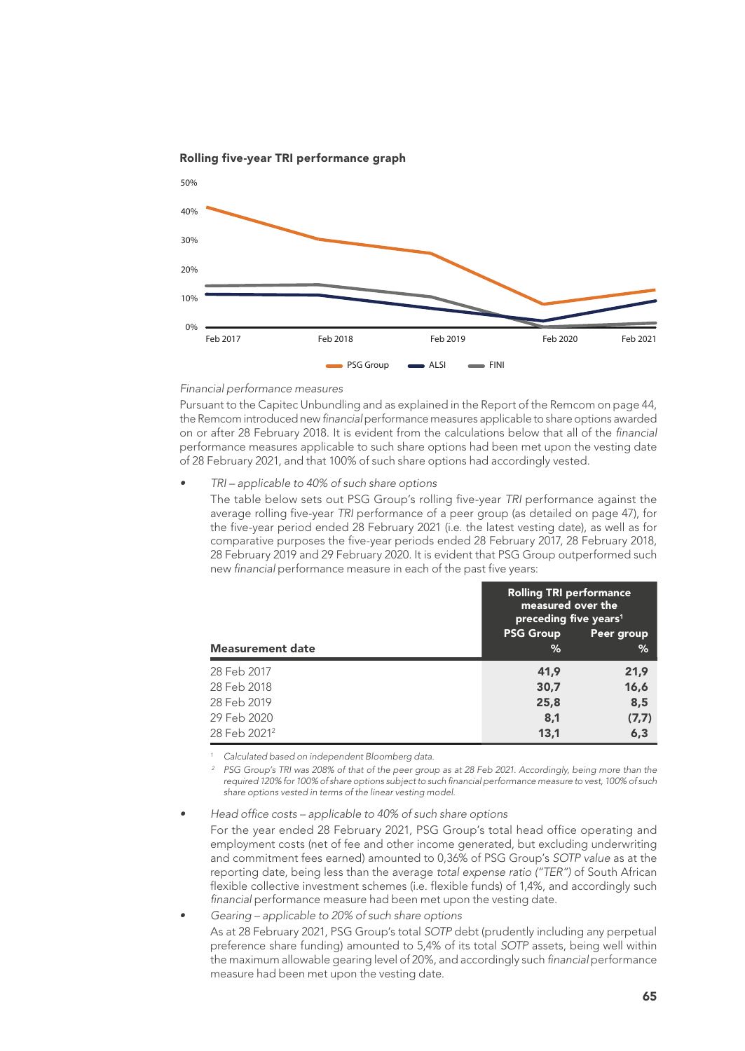

Rolling five-year TRI performance graph

#### *Financial performance measures*

Pursuant to the Capitec Unbundling and as explained in the Report of the Remcom on page 44, the Remcom introduced new *financial* performance measures applicable to share options awarded on or after 28 February 2018. It is evident from the calculations below that all of the *financial* performance measures applicable to such share options had been met upon the vesting date of 28 February 2021, and that 100% of such share options had accordingly vested.

*• TRI – applicable to 40% of such share options*

The table below sets out PSG Group's rolling five-year *TRI* performance against the average rolling five-year *TRI* performance of a peer group (as detailed on page 47), for the five-year period ended 28 February 2021 (i.e. the latest vesting date), as well as for comparative purposes the five-year periods ended 28 February 2017, 28 February 2018, 28 February 2019 and 29 February 2020. It is evident that PSG Group outperformed such new *financial* performance measure in each of the past five years:

|                          | <b>Rolling TRI performance</b><br>measured over the<br>preceding five years <sup>1</sup> |            |  |  |  |
|--------------------------|------------------------------------------------------------------------------------------|------------|--|--|--|
|                          | <b>PSG Group</b>                                                                         | Peer group |  |  |  |
| <b>Measurement date</b>  | %                                                                                        | %          |  |  |  |
| 28 Feb 2017              | 41,9                                                                                     | 21,9       |  |  |  |
| 28 Feb 2018              | 30,7                                                                                     | 16,6       |  |  |  |
| 28 Feb 2019              | 25,8                                                                                     | 8,5        |  |  |  |
| 29 Feb 2020              | 8,1                                                                                      | (7,7)      |  |  |  |
| 28 Feb 2021 <sup>2</sup> | 13,1                                                                                     | 6,3        |  |  |  |

 *Calculated based on independent Bloomberg data.*

*<sup>2</sup> PSG Group's TRI was 208% of that of the peer group as at 28 Feb 2021. Accordingly, being more than the required 120% for 100% of share options subject to such financial performance measure to vest, 100% of such share options vested in terms of the linear vesting model.*

*• Head office costs – applicable to 40% of such share options*

For the year ended 28 February 2021, PSG Group's total head office operating and employment costs (net of fee and other income generated, but excluding underwriting and commitment fees earned) amounted to 0,36% of PSG Group's *SOTP value* as at the reporting date, being less than the average *total expense ratio ("TER")* of South African flexible collective investment schemes (i.e. flexible funds) of 1,4%, and accordingly such *financial* performance measure had been met upon the vesting date.

*• Gearing – applicable to 20% of such share options*

As at 28 February 2021, PSG Group's total *SOTP* debt (prudently including any perpetual preference share funding) amounted to 5,4% of its total *SOTP* assets, being well within the maximum allowable gearing level of 20%, and accordingly such *financial* performance measure had been met upon the vesting date.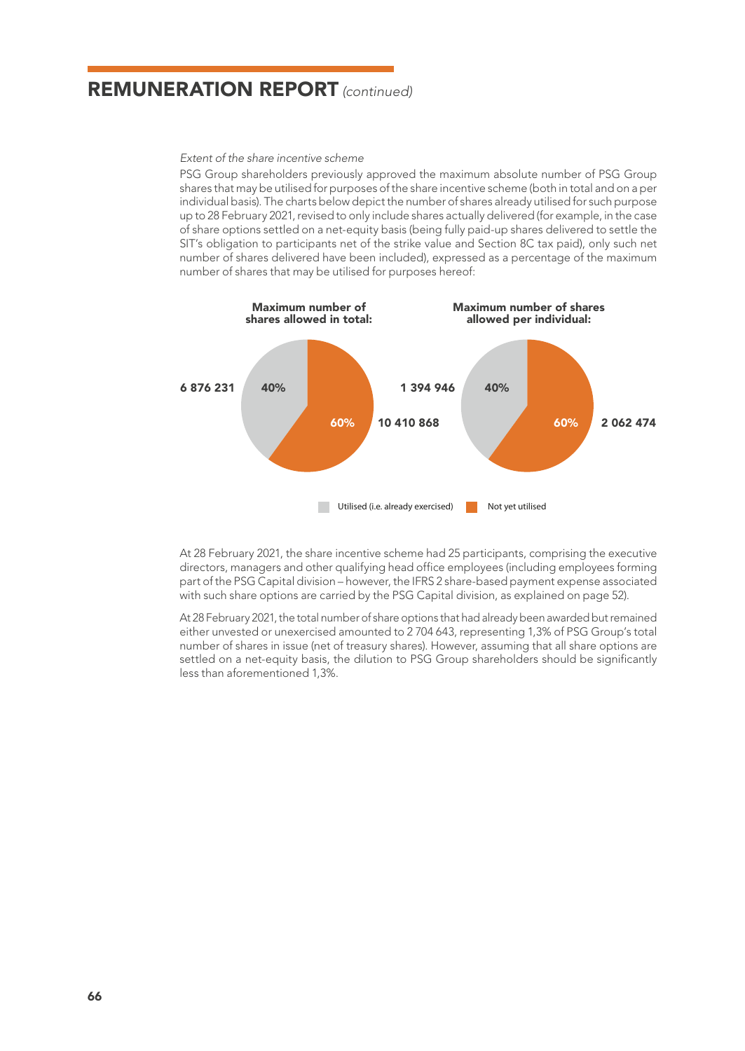*Extent of the share incentive scheme*

PSG Group shareholders previously approved the maximum absolute number of PSG Group shares that may be utilised for purposes of the share incentive scheme (both in total and on a per individual basis). The charts below depict the number of shares already utilised for such purpose up to 28 February 2021, revised to only include shares actually delivered (for example, in the case of share options settled on a net-equity basis (being fully paid-up shares delivered to settle the SIT's obligation to participants net of the strike value and Section 8C tax paid), only such net number of shares delivered have been included), expressed as a percentage of the maximum number of shares that may be utilised for purposes hereof:



At 28 February 2021, the share incentive scheme had 25 participants, comprising the executive directors, managers and other qualifying head office employees (including employees forming part of the PSG Capital division – however, the IFRS 2 share-based payment expense associated with such share options are carried by the PSG Capital division, as explained on page 52).

At 28 February 2021, the total number of share options that had already been awarded but remained either unvested or unexercised amounted to 2 704 643, representing 1,3% of PSG Group's total number of shares in issue (net of treasury shares). However, assuming that all share options are settled on a net-equity basis, the dilution to PSG Group shareholders should be significantly less than aforementioned 1,3%.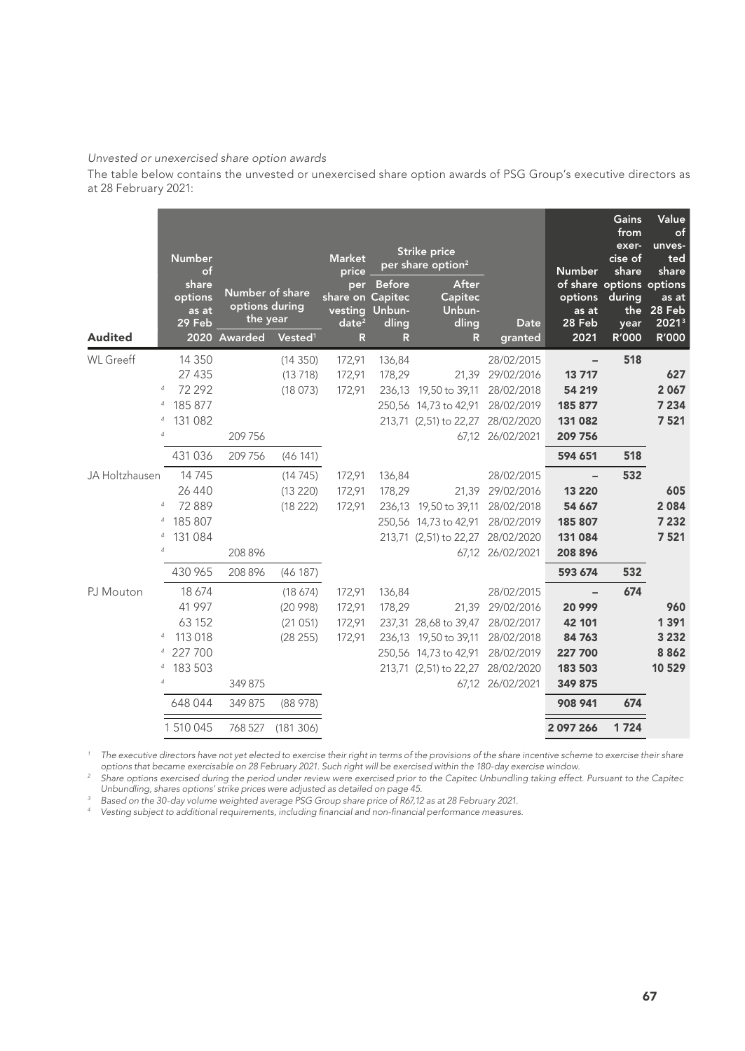#### *Unvested or unexercised share option awards*

The table below contains the unvested or unexercised share option awards of PSG Group's executive directors as at 28 February 2021:

|                                       | <b>Number</b><br>of                                                                    |                                                               |                                                        | <b>Market</b><br>price                            |                                                          | Strike price<br>per share option <sup>2</sup>                                                                |                                                                                              | <b>Number</b>                                                         | Gains<br>from<br>exer-<br>cise of<br>share | Value<br>of<br>unves-<br>ted<br>share       |
|---------------------------------------|----------------------------------------------------------------------------------------|---------------------------------------------------------------|--------------------------------------------------------|---------------------------------------------------|----------------------------------------------------------|--------------------------------------------------------------------------------------------------------------|----------------------------------------------------------------------------------------------|-----------------------------------------------------------------------|--------------------------------------------|---------------------------------------------|
| <b>Audited</b>                        | share<br>options<br>as at<br>29 Feb                                                    | Number of share<br>options during<br>the year<br>2020 Awarded | Vested <sup>1</sup>                                    | per<br>share on Capitec<br>date <sup>2</sup><br>R | <b>Before</b><br>vesting Unbun-<br>dling<br>$\mathsf{R}$ | After<br>Capitec<br>Unbun-<br>dling<br>R                                                                     | Date<br>granted                                                                              | of share options options<br>options<br>as at<br>28 Feb<br>2021        | during<br>year<br>R'000                    | as at<br>the 28 Feb<br>20213<br>R'000       |
| <b>WL</b> Greeff<br>$\overline{4}$    | 14 3 5 0<br>27 435<br>72 292<br>$\overline{4}$<br>185 877<br>131 082<br>$\overline{4}$ |                                                               | (14350)<br>(13718)<br>(18073)                          | 172,91<br>172,91<br>172,91                        | 136,84<br>178,29                                         | 236,13 19,50 to 39,11<br>250,56 14,73 to 42,91 28/02/2019<br>213,71 (2,51) to 22,27 28/02/2020               | 28/02/2015<br>21,39 29/02/2016<br>28/02/2018                                                 | 13717<br>54 219<br>185 877<br>131 082                                 | 518                                        | 627<br>2 0 6 7<br>7 2 3 4<br>7521           |
|                                       | 431 036                                                                                | 209 756<br>209 756                                            | (46141)                                                |                                                   |                                                          |                                                                                                              | 67,12 26/02/2021                                                                             | 209 756<br>594 651                                                    | 518                                        |                                             |
| JA Holtzhausen<br>4                   | 14745<br>26 4 4 0<br>4 72 889<br>$\overline{4}$<br>185 807<br>4 131 084                | 208 896                                                       | (14745)<br>(13 220)<br>(18222)                         | 172,91<br>172,91<br>172,91                        | 136,84<br>178,29                                         | 236,13 19,50 to 39,11<br>250,56 14,73 to 42,91 28/02/2019<br>213,71 (2,51) to 22,27 28/02/2020               | 28/02/2015<br>21,39 29/02/2016<br>28/02/2018<br>67,12 26/02/2021                             | 13 2 20<br>54 6 67<br>185 807<br>131 084<br>208 896                   | 532                                        | 605<br>2084<br>7 2 3 2<br>7521              |
| PJ Mouton<br>4<br>4<br>$\overline{4}$ | 430 965<br>18 674<br>41 997<br>63 152<br>113 018<br>4 227 700<br>183 503               | 208 896<br>349 875                                            | (46187)<br>(18, 674)<br>(20998)<br>(21051)<br>(28 255) | 172,91<br>172,91<br>172,91<br>172,91              | 136,84<br>178,29                                         | 237,31 28,68 to 39,47<br>236,13 19,50 to 39,11<br>250,56 14,73 to 42,91<br>213,71 (2,51) to 22,27 28/02/2020 | 28/02/2015<br>21,39 29/02/2016<br>28/02/2017<br>28/02/2018<br>28/02/2019<br>67,12 26/02/2021 | 593 674<br>20 999<br>42 101<br>84763<br>227 700<br>183 503<br>349 875 | 532<br>674                                 | 960<br>1 3 9 1<br>3 2 3 2<br>8862<br>10 529 |
|                                       | 648 044<br>1 510 045                                                                   | 349 875<br>768 527                                            | (88978)<br>(181306)                                    |                                                   |                                                          |                                                                                                              |                                                                                              | 908 941<br>2 0 9 7 2 6 6                                              | 674<br>1724                                |                                             |

The executive directors have not yet elected to exercise their right in terms of the provisions of the share incentive scheme to exercise their share<br>options that became exercisable on 28 February 2021. Such right will be

*<sup>2</sup> Share options exercised during the period under review were exercised prior to the Capitec Unbundling taking effect. Pursuant to the Capitec* 

Unbundling, shares options' strike prices were adjusted as detailed on page 45.<br><sup>3</sup> Based on the 30-day volume weighted average PSG Group share price of R67,12 as at 28 February 2021.<br><sup>4</sup> Vesting subject to additional requ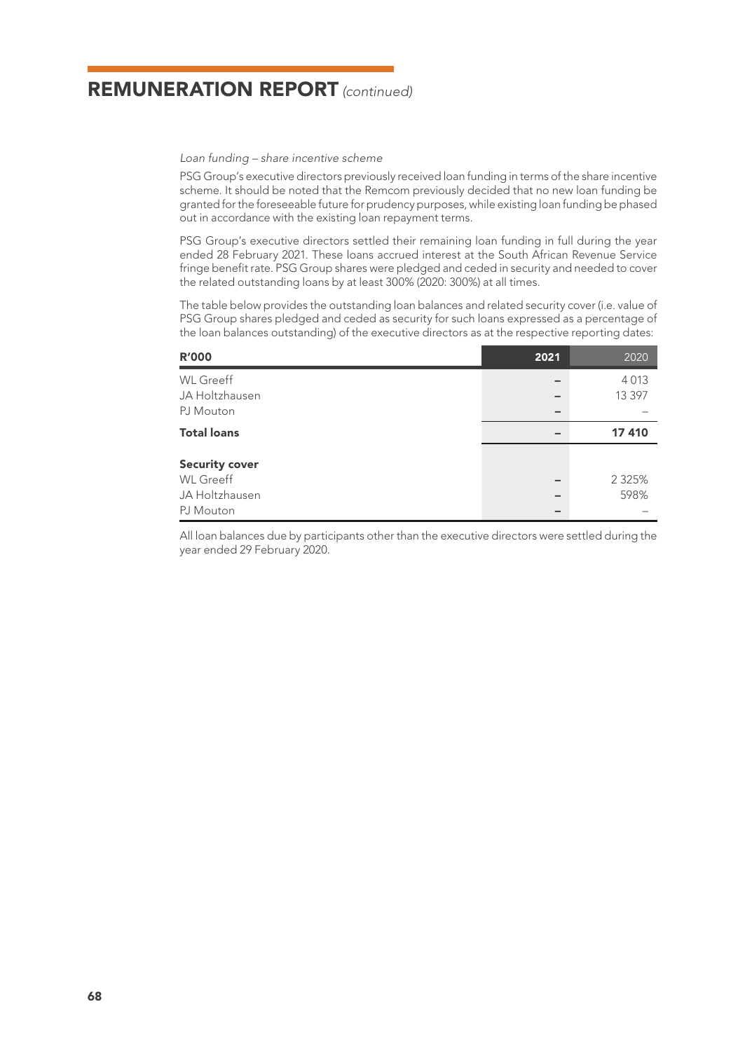*Loan funding – share incentive scheme*

PSG Group's executive directors previously received loan funding in terms of the share incentive scheme. It should be noted that the Remcom previously decided that no new loan funding be granted for the foreseeable future for prudency purposes, while existing loan funding be phased out in accordance with the existing loan repayment terms.

PSG Group's executive directors settled their remaining loan funding in full during the year ended 28 February 2021. These loans accrued interest at the South African Revenue Service fringe benefit rate. PSG Group shares were pledged and ceded in security and needed to cover the related outstanding loans by at least 300% (2020: 300%) at all times.

The table below provides the outstanding loan balances and related security cover (i.e. value of PSG Group shares pledged and ceded as security for such loans expressed as a percentage of the loan balances outstanding) of the executive directors as at the respective reporting dates:

| <b>R'000</b>                              | 2021 | 2020      |
|-------------------------------------------|------|-----------|
| <b>WL</b> Greeff                          |      | 4 0 1 3   |
| JA Holtzhausen                            |      | 13 3 9 7  |
| PJ Mouton                                 |      |           |
| <b>Total loans</b>                        |      | 17 410    |
| <b>Security cover</b><br><b>WL</b> Greeff |      | 2 3 2 5 % |
| JA Holtzhausen                            |      | 598%      |
| PJ Mouton                                 |      |           |

All loan balances due by participants other than the executive directors were settled during the year ended 29 February 2020.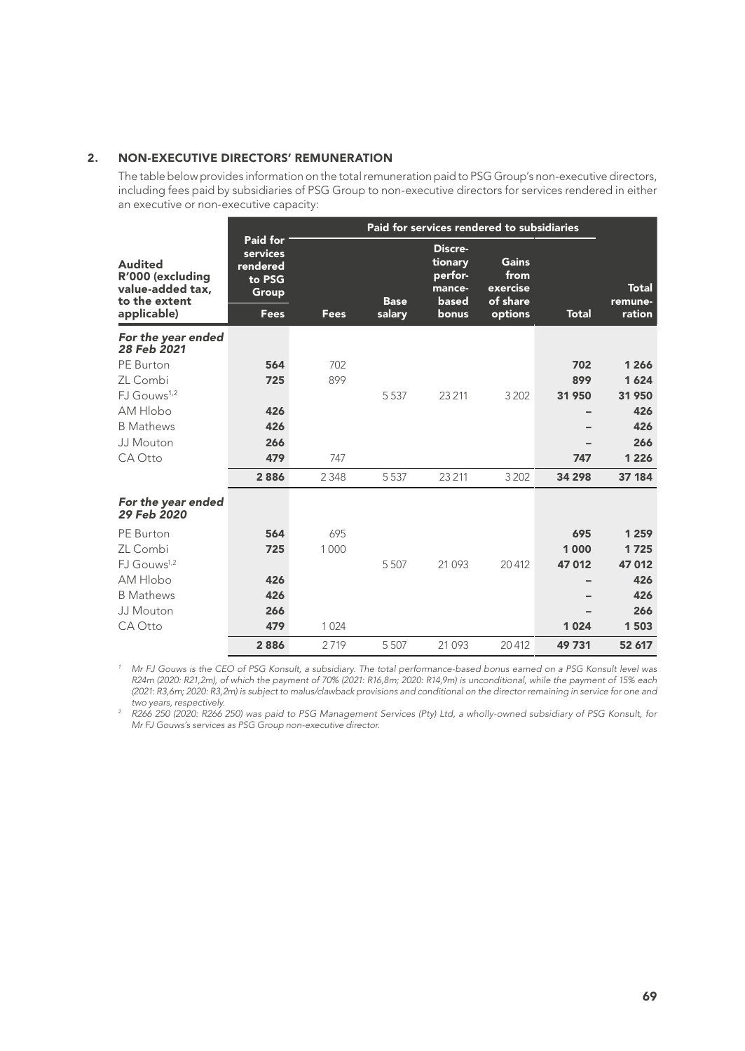## 2. NON-EXECUTIVE DIRECTORS' REMUNERATION

The table below provides information on the total remuneration paid to PSG Group's non-executive directors, including fees paid by subsidiaries of PSG Group to non-executive directors for services rendered in either an executive or non-executive capacity:

| <b>Audited</b><br>R'000 (excluding<br>value-added tax,<br>to the extent<br>applicable) | Paid for<br>services<br>rendered<br>to PSG<br>Group<br>Fees | Fees    | <b>Base</b><br>salary | Discre-<br>tionary<br>perfor-<br>mance-<br>based<br>bonus | Gains<br>from<br>exercise<br>of share<br>options | <b>Total</b> | <b>Total</b><br>remune-<br>ration |
|----------------------------------------------------------------------------------------|-------------------------------------------------------------|---------|-----------------------|-----------------------------------------------------------|--------------------------------------------------|--------------|-----------------------------------|
| For the year ended                                                                     |                                                             |         |                       |                                                           |                                                  |              |                                   |
| 28 Feb 2021                                                                            |                                                             |         |                       |                                                           |                                                  |              |                                   |
| PE Burton                                                                              | 564                                                         | 702     |                       |                                                           |                                                  | 702          | 1 2 6 6                           |
| ZL Combi                                                                               | 725                                                         | 899     |                       |                                                           |                                                  | 899          | 1624                              |
| $FJ$ Gouws <sup>1,2</sup>                                                              |                                                             |         | 5 5 3 7               | 23 211                                                    | 3 2 0 2                                          | 31 950       | 31 950                            |
| AM Hlobo                                                                               | 426                                                         |         |                       |                                                           |                                                  |              | 426                               |
| <b>B</b> Mathews                                                                       | 426                                                         |         |                       |                                                           |                                                  |              | 426                               |
| JJ Mouton                                                                              | 266                                                         |         |                       |                                                           |                                                  |              | 266                               |
| CA Otto                                                                                | 479                                                         | 747     |                       |                                                           |                                                  | 747          | 1 2 2 6                           |
|                                                                                        | 2886                                                        | 2 3 4 8 | 5 5 3 7               | 23 211                                                    | 3 2 0 2                                          | 34 298       | 37 184                            |
| For the year ended<br>29 Feb 2020                                                      |                                                             |         |                       |                                                           |                                                  |              |                                   |
| PE Burton                                                                              | 564                                                         | 695     |                       |                                                           |                                                  | 695          | 1 2 5 9                           |
| ZL Combi                                                                               | 725                                                         | 1000    |                       |                                                           |                                                  | 1000         | 1725                              |
| FJ Gouws <sup>1,2</sup>                                                                |                                                             |         | 5507                  | 21 0 9 3                                                  | 20412                                            | 47012        | 47 012                            |
| AM Hlobo                                                                               | 426                                                         |         |                       |                                                           |                                                  |              | 426                               |
| <b>B</b> Mathews                                                                       | 426                                                         |         |                       |                                                           |                                                  |              | 426                               |
| JJ Mouton                                                                              | 266                                                         |         |                       |                                                           |                                                  |              | 266                               |
| CA Otto                                                                                | 479                                                         | 1024    |                       |                                                           |                                                  | 1024         | 1503                              |
|                                                                                        | 2886                                                        | 2719    | 5 5 0 7               | 21 0 9 3                                                  | 20412                                            | 49731        | 52 617                            |

Mr FJ Gouws is the CEO of PSG Konsult, a subsidiary. The total performance-based bonus earned on a PSG Konsult level was "<br>R24m (2020: R21,2m), of which the payment of 70% (2021: R16,8m; 2020: R14,9m) is unconditional, whi *(2021: R3,6m; 2020: R3,2m) is subject to malus/clawback provisions and conditional on the director remaining in service for one and* 

*two years, respectively. <sup>2</sup> R266 250 (2020: R266 250) was paid to PSG Management Services (Pty) Ltd, a wholly-owned subsidiary of PSG Konsult, for Mr FJ Gouws's services as PSG Group non-executive director.*